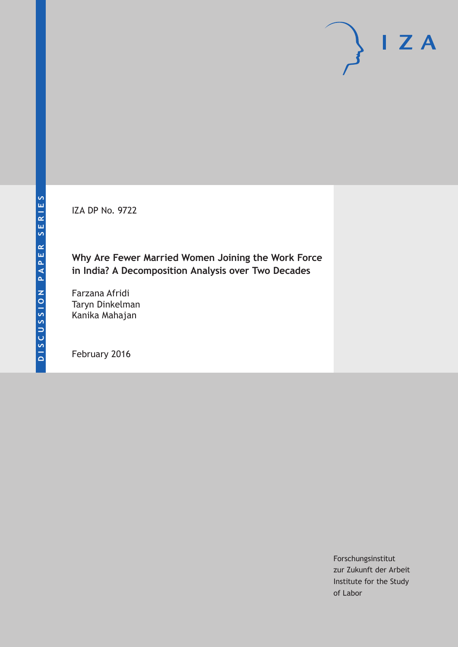IZA DP No. 9722

**Why Are Fewer Married Women Joining the Work Force in India? A Decomposition Analysis over Two Decades**

Farzana Afridi Taryn Dinkelman Kanika Mahajan

February 2016

Forschungsinstitut zur Zukunft der Arbeit Institute for the Study of Labor

 $I Z A$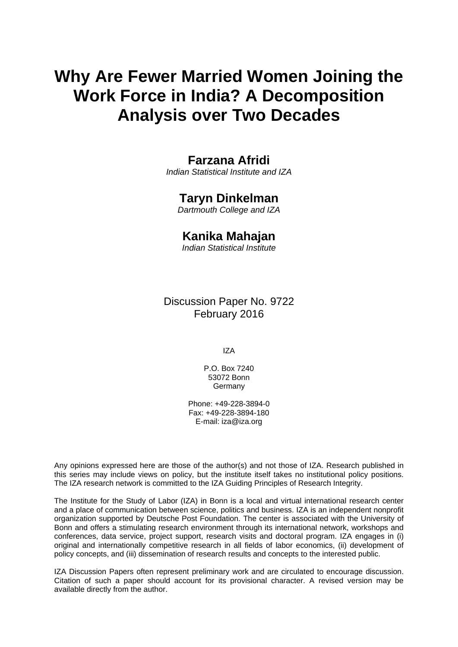# **Why Are Fewer Married Women Joining the Work Force in India? A Decomposition Analysis over Two Decades**

### **Farzana Afridi**

*Indian Statistical Institute and IZA* 

# **Taryn Dinkelman**

*Dartmouth College and IZA* 

## **Kanika Mahajan**

*Indian Statistical Institute*

Discussion Paper No. 9722 February 2016

IZA

P.O. Box 7240 53072 Bonn **Germany** 

Phone: +49-228-3894-0 Fax: +49-228-3894-180 E-mail: iza@iza.org

Any opinions expressed here are those of the author(s) and not those of IZA. Research published in this series may include views on policy, but the institute itself takes no institutional policy positions. The IZA research network is committed to the IZA Guiding Principles of Research Integrity.

The Institute for the Study of Labor (IZA) in Bonn is a local and virtual international research center and a place of communication between science, politics and business. IZA is an independent nonprofit organization supported by Deutsche Post Foundation. The center is associated with the University of Bonn and offers a stimulating research environment through its international network, workshops and conferences, data service, project support, research visits and doctoral program. IZA engages in (i) original and internationally competitive research in all fields of labor economics, (ii) development of policy concepts, and (iii) dissemination of research results and concepts to the interested public.

IZA Discussion Papers often represent preliminary work and are circulated to encourage discussion. Citation of such a paper should account for its provisional character. A revised version may be available directly from the author.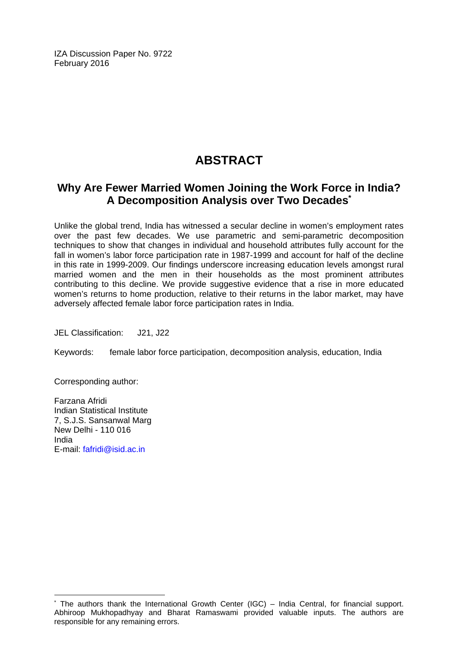IZA Discussion Paper No. 9722 February 2016

# **ABSTRACT**

# **Why Are Fewer Married Women Joining the Work Force in India? A Decomposition Analysis over Two Decades\***

Unlike the global trend, India has witnessed a secular decline in women's employment rates over the past few decades. We use parametric and semi-parametric decomposition techniques to show that changes in individual and household attributes fully account for the fall in women's labor force participation rate in 1987-1999 and account for half of the decline in this rate in 1999-2009. Our findings underscore increasing education levels amongst rural married women and the men in their households as the most prominent attributes contributing to this decline. We provide suggestive evidence that a rise in more educated women's returns to home production, relative to their returns in the labor market, may have adversely affected female labor force participation rates in India.

JEL Classification: J21, J22

Keywords: female labor force participation, decomposition analysis, education, India

Corresponding author:

Farzana Afridi Indian Statistical Institute 7, S.J.S. Sansanwal Marg New Delhi - 110 016 India E-mail: fafridi@isid.ac.in

 $\overline{\phantom{a}}$ 

<sup>\*</sup> The authors thank the International Growth Center (IGC) – India Central, for financial support. Abhiroop Mukhopadhyay and Bharat Ramaswami provided valuable inputs. The authors are responsible for any remaining errors.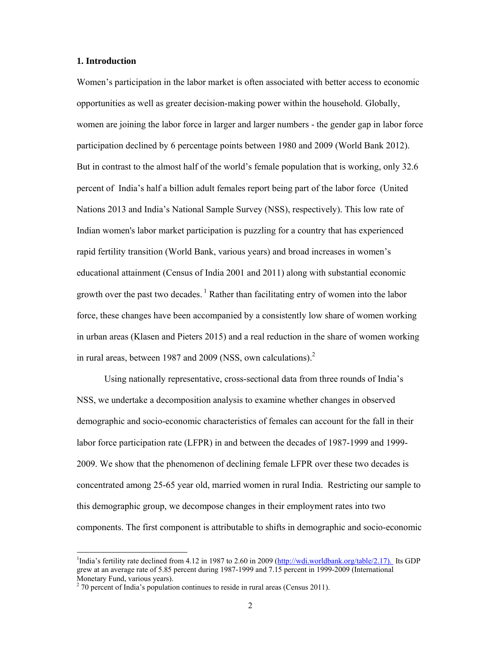#### **1. Introduction**

Women's participation in the labor market is often associated with better access to economic opportunities as well as greater decision-making power within the household. Globally, women are joining the labor force in larger and larger numbers - the gender gap in labor force participation declined by 6 percentage points between 1980 and 2009 (World Bank 2012). But in contrast to the almost half of the world's female population that is working, only 32.6 percent of India's half a billion adult females report being part of the labor force (United Nations 2013 and India's National Sample Survey (NSS), respectively). This low rate of Indian women's labor market participation is puzzling for a country that has experienced rapid fertility transition (World Bank, various years) and broad increases in women's educational attainment (Census of India 2001 and 2011) along with substantial economic growth over the past two decades.<sup>1</sup> Rather than facilitating entry of women into the labor force, these changes have been accompanied by a consistently low share of women working in urban areas (Klasen and Pieters 2015) and a real reduction in the share of women working in rural areas, between 1987 and 2009 (NSS, own calculations). $^{2}$ 

Using nationally representative, cross-sectional data from three rounds of India's NSS, we undertake a decomposition analysis to examine whether changes in observed demographic and socio-economic characteristics of females can account for the fall in their labor force participation rate (LFPR) in and between the decades of 1987-1999 and 1999- 2009. We show that the phenomenon of declining female LFPR over these two decades is concentrated among 25-65 year old, married women in rural India. Restricting our sample to this demographic group, we decompose changes in their employment rates into two components. The first component is attributable to shifts in demographic and socio-economic

<sup>&</sup>lt;sup>1</sup>India's fertility rate declined from 4.12 in 1987 to 2.60 in 2009 (http://wdi.worldbank.org/table/2.17). Its GDP grew at an average rate of 5.85 percent during 1987-1999 and 7.15 percent in 1999-2009 (International Monetary Fund, various years).

 $2^{2}$  70 percent of India's population continues to reside in rural areas (Census 2011).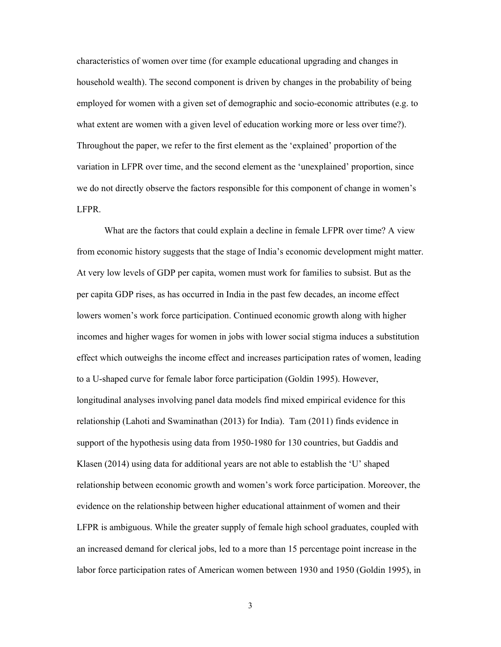characteristics of women over time (for example educational upgrading and changes in household wealth). The second component is driven by changes in the probability of being employed for women with a given set of demographic and socio-economic attributes (e.g. to what extent are women with a given level of education working more or less over time?). Throughout the paper, we refer to the first element as the 'explained' proportion of the variation in LFPR over time, and the second element as the 'unexplained' proportion, since we do not directly observe the factors responsible for this component of change in women's LFPR.

What are the factors that could explain a decline in female LFPR over time? A view from economic history suggests that the stage of India's economic development might matter. At very low levels of GDP per capita, women must work for families to subsist. But as the per capita GDP rises, as has occurred in India in the past few decades, an income effect lowers women's work force participation. Continued economic growth along with higher incomes and higher wages for women in jobs with lower social stigma induces a substitution effect which outweighs the income effect and increases participation rates of women, leading to a U-shaped curve for female labor force participation (Goldin 1995). However, longitudinal analyses involving panel data models find mixed empirical evidence for this relationship (Lahoti and Swaminathan (2013) for India). Tam (2011) finds evidence in support of the hypothesis using data from 1950-1980 for 130 countries, but Gaddis and Klasen (2014) using data for additional years are not able to establish the 'U' shaped relationship between economic growth and women's work force participation. Moreover, the evidence on the relationship between higher educational attainment of women and their LFPR is ambiguous. While the greater supply of female high school graduates, coupled with an increased demand for clerical jobs, led to a more than 15 percentage point increase in the labor force participation rates of American women between 1930 and 1950 (Goldin 1995), in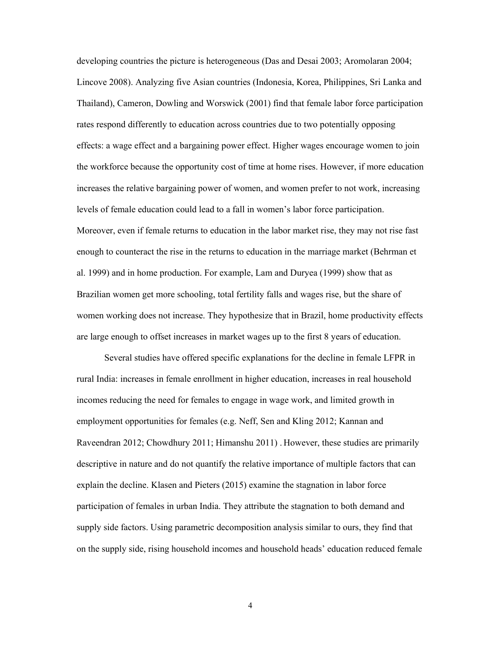developing countries the picture is heterogeneous (Das and Desai 2003; Aromolaran 2004; Lincove 2008). Analyzing five Asian countries (Indonesia, Korea, Philippines, Sri Lanka and Thailand), Cameron, Dowling and Worswick (2001) find that female labor force participation rates respond differently to education across countries due to two potentially opposing effects: a wage effect and a bargaining power effect. Higher wages encourage women to join the workforce because the opportunity cost of time at home rises. However, if more education increases the relative bargaining power of women, and women prefer to not work, increasing levels of female education could lead to a fall in women's labor force participation. Moreover, even if female returns to education in the labor market rise, they may not rise fast enough to counteract the rise in the returns to education in the marriage market (Behrman et al. 1999) and in home production. For example, Lam and Duryea (1999) show that as Brazilian women get more schooling, total fertility falls and wages rise, but the share of women working does not increase. They hypothesize that in Brazil, home productivity effects are large enough to offset increases in market wages up to the first 8 years of education.

Several studies have offered specific explanations for the decline in female LFPR in rural India: increases in female enrollment in higher education, increases in real household incomes reducing the need for females to engage in wage work, and limited growth in employment opportunities for females (e.g. Neff, Sen and Kling 2012; Kannan and Raveendran 2012; Chowdhury 2011; Himanshu 2011) . However, these studies are primarily descriptive in nature and do not quantify the relative importance of multiple factors that can explain the decline. Klasen and Pieters (2015) examine the stagnation in labor force participation of females in urban India. They attribute the stagnation to both demand and supply side factors. Using parametric decomposition analysis similar to ours, they find that on the supply side, rising household incomes and household heads' education reduced female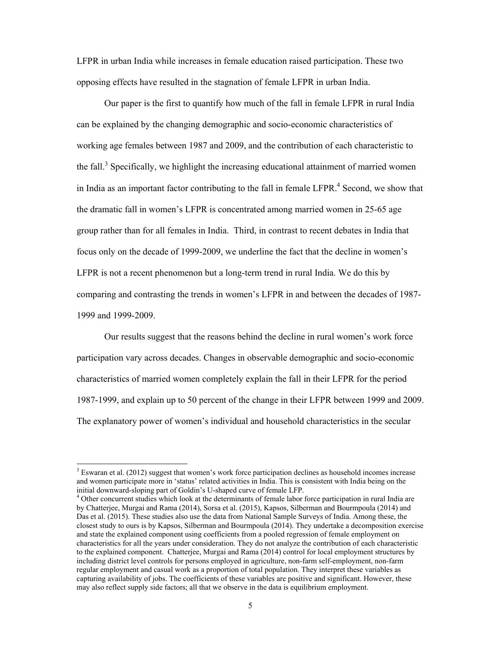LFPR in urban India while increases in female education raised participation. These two opposing effects have resulted in the stagnation of female LFPR in urban India.

Our paper is the first to quantify how much of the fall in female LFPR in rural India can be explained by the changing demographic and socio-economic characteristics of working age females between 1987 and 2009, and the contribution of each characteristic to the fall.<sup>3</sup> Specifically, we highlight the increasing educational attainment of married women in India as an important factor contributing to the fall in female  $LFPR<sup>4</sup>$ . Second, we show that the dramatic fall in women's LFPR is concentrated among married women in 25-65 age group rather than for all females in India. Third, in contrast to recent debates in India that focus only on the decade of 1999-2009, we underline the fact that the decline in women's LFPR is not a recent phenomenon but a long-term trend in rural India. We do this by comparing and contrasting the trends in women's LFPR in and between the decades of 1987- 1999 and 1999-2009.

Our results suggest that the reasons behind the decline in rural women's work force participation vary across decades. Changes in observable demographic and socio-economic characteristics of married women completely explain the fall in their LFPR for the period 1987-1999, and explain up to 50 percent of the change in their LFPR between 1999 and 2009. The explanatory power of women's individual and household characteristics in the secular

<sup>&</sup>lt;sup>3</sup> Eswaran et al. (2012) suggest that women's work force participation declines as household incomes increase and women participate more in 'status' related activities in India. This is consistent with India being on the initial downward-sloping part of Goldin's U-shaped curve of female LFP.

<sup>&</sup>lt;sup>4</sup> Other concurrent studies which look at the determinants of female labor force participation in rural India are by Chatterjee, Murgai and Rama (2014), Sorsa et al. (2015), Kapsos, Silberman and Bourmpoula (2014) and Das et al. (2015). These studies also use the data from National Sample Surveys of India. Among these, the closest study to ours is by Kapsos, Silberman and Bourmpoula (2014). They undertake a decomposition exercise and state the explained component using coefficients from a pooled regression of female employment on characteristics for all the years under consideration. They do not analyze the contribution of each characteristic to the explained component. Chatterjee, Murgai and Rama (2014) control for local employment structures by including district level controls for persons employed in agriculture, non-farm self-employment, non-farm regular employment and casual work as a proportion of total population. They interpret these variables as capturing availability of jobs. The coefficients of these variables are positive and significant. However, these may also reflect supply side factors; all that we observe in the data is equilibrium employment.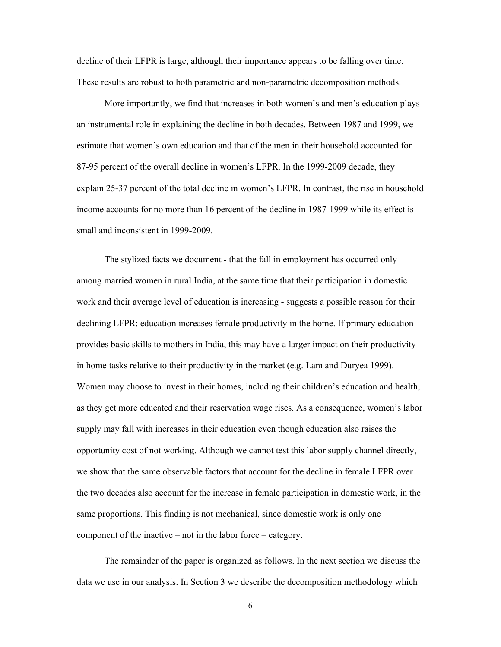decline of their LFPR is large, although their importance appears to be falling over time. These results are robust to both parametric and non-parametric decomposition methods.

More importantly, we find that increases in both women's and men's education plays an instrumental role in explaining the decline in both decades. Between 1987 and 1999, we estimate that women's own education and that of the men in their household accounted for 87-95 percent of the overall decline in women's LFPR. In the 1999-2009 decade, they explain 25-37 percent of the total decline in women's LFPR. In contrast, the rise in household income accounts for no more than 16 percent of the decline in 1987-1999 while its effect is small and inconsistent in 1999-2009.

The stylized facts we document - that the fall in employment has occurred only among married women in rural India, at the same time that their participation in domestic work and their average level of education is increasing - suggests a possible reason for their declining LFPR: education increases female productivity in the home. If primary education provides basic skills to mothers in India, this may have a larger impact on their productivity in home tasks relative to their productivity in the market (e.g. Lam and Duryea 1999). Women may choose to invest in their homes, including their children's education and health, as they get more educated and their reservation wage rises. As a consequence, women's labor supply may fall with increases in their education even though education also raises the opportunity cost of not working. Although we cannot test this labor supply channel directly, we show that the same observable factors that account for the decline in female LFPR over the two decades also account for the increase in female participation in domestic work, in the same proportions. This finding is not mechanical, since domestic work is only one component of the inactive – not in the labor force – category.

The remainder of the paper is organized as follows. In the next section we discuss the data we use in our analysis. In Section 3 we describe the decomposition methodology which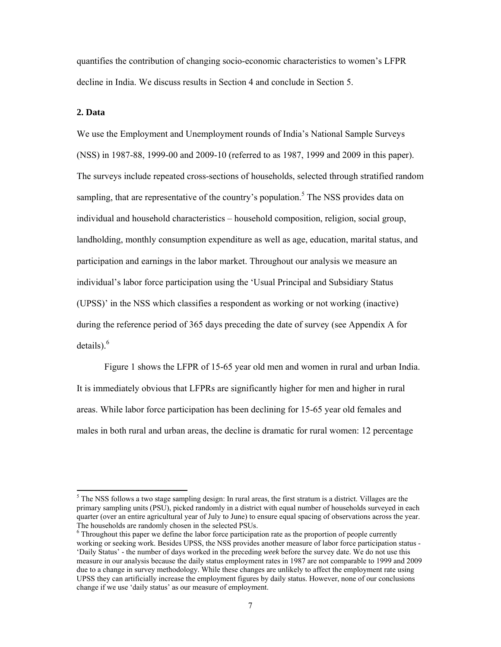quantifies the contribution of changing socio-economic characteristics to women's LFPR decline in India. We discuss results in Section 4 and conclude in Section 5.

#### **2. Data**

We use the Employment and Unemployment rounds of India's National Sample Surveys (NSS) in 1987-88, 1999-00 and 2009-10 (referred to as 1987, 1999 and 2009 in this paper). The surveys include repeated cross-sections of households, selected through stratified random sampling, that are representative of the country's population.<sup>5</sup> The NSS provides data on individual and household characteristics – household composition, religion, social group, landholding, monthly consumption expenditure as well as age, education, marital status, and participation and earnings in the labor market. Throughout our analysis we measure an individual's labor force participation using the 'Usual Principal and Subsidiary Status (UPSS)' in the NSS which classifies a respondent as working or not working (inactive) during the reference period of 365 days preceding the date of survey (see Appendix A for details). $<sup>6</sup>$ </sup>

Figure 1 shows the LFPR of 15-65 year old men and women in rural and urban India. It is immediately obvious that LFPRs are significantly higher for men and higher in rural areas. While labor force participation has been declining for 15-65 year old females and males in both rural and urban areas, the decline is dramatic for rural women: 12 percentage

 $<sup>5</sup>$  The NSS follows a two stage sampling design: In rural areas, the first stratum is a district. Villages are the</sup> primary sampling units (PSU), picked randomly in a district with equal number of households surveyed in each quarter (over an entire agricultural year of July to June) to ensure equal spacing of observations across the year. The households are randomly chosen in the selected PSUs.

<sup>&</sup>lt;sup>6</sup> Throughout this paper we define the labor force participation rate as the proportion of people currently working or seeking work. Besides UPSS, the NSS provides another measure of labor force participation status - 'Daily Status' - the number of days worked in the preceding *week* before the survey date. We do not use this measure in our analysis because the daily status employment rates in 1987 are not comparable to 1999 and 2009 due to a change in survey methodology. While these changes are unlikely to affect the employment rate using UPSS they can artificially increase the employment figures by daily status. However, none of our conclusions change if we use 'daily status' as our measure of employment.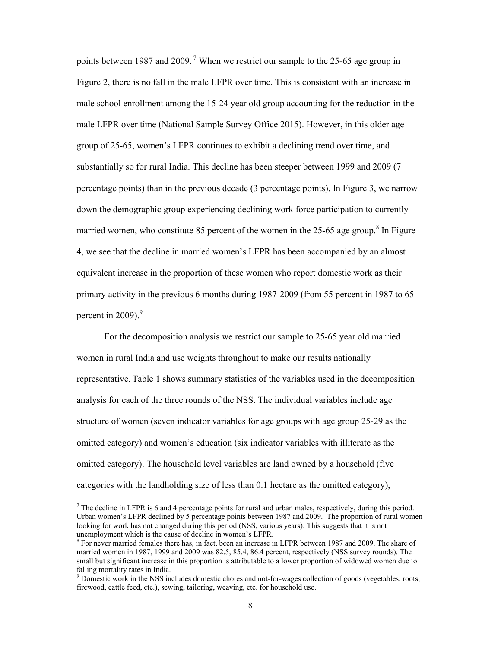points between 1987 and 2009. 7 When we restrict our sample to the 25-65 age group in Figure 2, there is no fall in the male LFPR over time. This is consistent with an increase in male school enrollment among the 15-24 year old group accounting for the reduction in the male LFPR over time (National Sample Survey Office 2015). However, in this older age group of 25-65, women's LFPR continues to exhibit a declining trend over time, and substantially so for rural India. This decline has been steeper between 1999 and 2009 (7 percentage points) than in the previous decade (3 percentage points). In Figure 3, we narrow down the demographic group experiencing declining work force participation to currently married women, who constitute 85 percent of the women in the 25-65 age group.<sup>8</sup> In Figure 4, we see that the decline in married women's LFPR has been accompanied by an almost equivalent increase in the proportion of these women who report domestic work as their primary activity in the previous 6 months during 1987-2009 (from 55 percent in 1987 to 65 percent in 2009). $9$ 

For the decomposition analysis we restrict our sample to 25-65 year old married women in rural India and use weights throughout to make our results nationally representative. Table 1 shows summary statistics of the variables used in the decomposition analysis for each of the three rounds of the NSS. The individual variables include age structure of women (seven indicator variables for age groups with age group 25-29 as the omitted category) and women's education (six indicator variables with illiterate as the omitted category). The household level variables are land owned by a household (five categories with the landholding size of less than 0.1 hectare as the omitted category),

<sup>&</sup>lt;sup>7</sup> The decline in LFPR is 6 and 4 percentage points for rural and urban males, respectively, during this period. Urban women's LFPR declined by 5 percentage points between 1987 and 2009. The proportion of rural women looking for work has not changed during this period (NSS, various years). This suggests that it is not unemployment which is the cause of decline in women's LFPR.

<sup>&</sup>lt;sup>8</sup> For never married females there has, in fact, been an increase in LFPR between 1987 and 2009. The share of married women in 1987, 1999 and 2009 was 82.5, 85.4, 86.4 percent, respectively (NSS survey rounds). The small but significant increase in this proportion is attributable to a lower proportion of widowed women due to falling mortality rates in India.

<sup>&</sup>lt;sup>9</sup> Domestic work in the NSS includes domestic chores and not-for-wages collection of goods (vegetables, roots, firewood, cattle feed, etc.), sewing, tailoring, weaving, etc. for household use.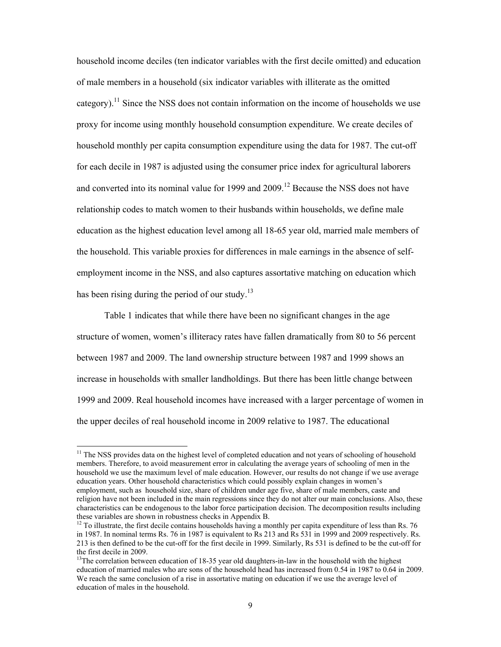household income deciles (ten indicator variables with the first decile omitted) and education of male members in a household (six indicator variables with illiterate as the omitted category).<sup>11</sup> Since the NSS does not contain information on the income of households we use proxy for income using monthly household consumption expenditure. We create deciles of household monthly per capita consumption expenditure using the data for 1987. The cut-off for each decile in 1987 is adjusted using the consumer price index for agricultural laborers and converted into its nominal value for 1999 and  $2009$ .<sup>12</sup> Because the NSS does not have relationship codes to match women to their husbands within households, we define male education as the highest education level among all 18-65 year old, married male members of the household. This variable proxies for differences in male earnings in the absence of selfemployment income in the NSS, and also captures assortative matching on education which has been rising during the period of our study.<sup>13</sup>

Table 1 indicates that while there have been no significant changes in the age structure of women, women's illiteracy rates have fallen dramatically from 80 to 56 percent between 1987 and 2009. The land ownership structure between 1987 and 1999 shows an increase in households with smaller landholdings. But there has been little change between 1999 and 2009. Real household incomes have increased with a larger percentage of women in the upper deciles of real household income in 2009 relative to 1987. The educational

<sup>&</sup>lt;sup>11</sup> The NSS provides data on the highest level of completed education and not years of schooling of household members. Therefore, to avoid measurement error in calculating the average years of schooling of men in the household we use the maximum level of male education. However, our results do not change if we use average education years. Other household characteristics which could possibly explain changes in women's employment, such as household size, share of children under age five, share of male members, caste and religion have not been included in the main regressions since they do not alter our main conclusions. Also, these characteristics can be endogenous to the labor force participation decision. The decomposition results including these variables are shown in robustness checks in Appendix B.

 $12$  To illustrate, the first decile contains households having a monthly per capita expenditure of less than Rs. 76 in 1987. In nominal terms Rs. 76 in 1987 is equivalent to Rs 213 and Rs 531 in 1999 and 2009 respectively. Rs. 213 is then defined to be the cut-off for the first decile in 1999. Similarly, Rs 531 is defined to be the cut-off for the first decile in 2009.

<sup>&</sup>lt;sup>13</sup>The correlation between education of 18-35 year old daughters-in-law in the household with the highest education of married males who are sons of the household head has increased from 0.54 in 1987 to 0.64 in 2009. We reach the same conclusion of a rise in assortative mating on education if we use the average level of education of males in the household.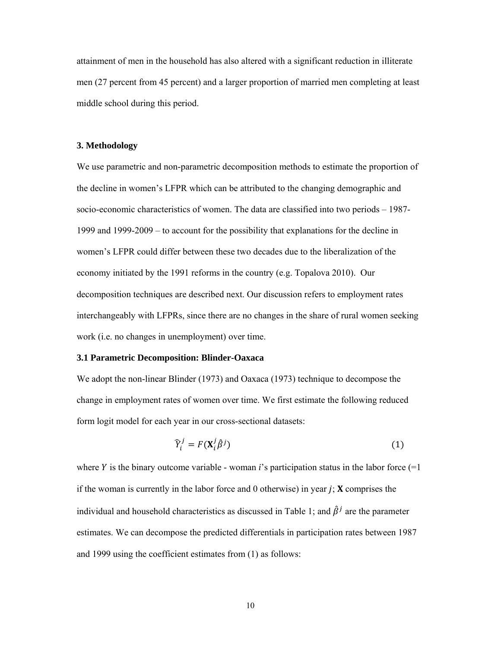attainment of men in the household has also altered with a significant reduction in illiterate men (27 percent from 45 percent) and a larger proportion of married men completing at least middle school during this period.

#### **3. Methodology**

We use parametric and non-parametric decomposition methods to estimate the proportion of the decline in women's LFPR which can be attributed to the changing demographic and socio-economic characteristics of women. The data are classified into two periods – 1987- 1999 and 1999-2009 – to account for the possibility that explanations for the decline in women's LFPR could differ between these two decades due to the liberalization of the economy initiated by the 1991 reforms in the country (e.g. Topalova 2010). Our decomposition techniques are described next. Our discussion refers to employment rates interchangeably with LFPRs, since there are no changes in the share of rural women seeking work (i.e. no changes in unemployment) over time.

#### **3.1 Parametric Decomposition: Blinder-Oaxaca**

We adopt the non-linear Blinder (1973) and Oaxaca (1973) technique to decompose the change in employment rates of women over time. We first estimate the following reduced form logit model for each year in our cross-sectional datasets:

$$
\widehat{Y}_i^j = F(\mathbf{X}_i^j \widehat{\beta}^j) \tag{1}
$$

where Y is the binary outcome variable - woman  $i$ 's participation status in the labor force  $(=1)$ if the woman is currently in the labor force and 0 otherwise) in year  $j$ ;  $\bf{X}$  comprises the individual and household characteristics as discussed in Table 1; and  $\hat{\beta}^j$  are the parameter estimates. We can decompose the predicted differentials in participation rates between 1987 and 1999 using the coefficient estimates from (1) as follows: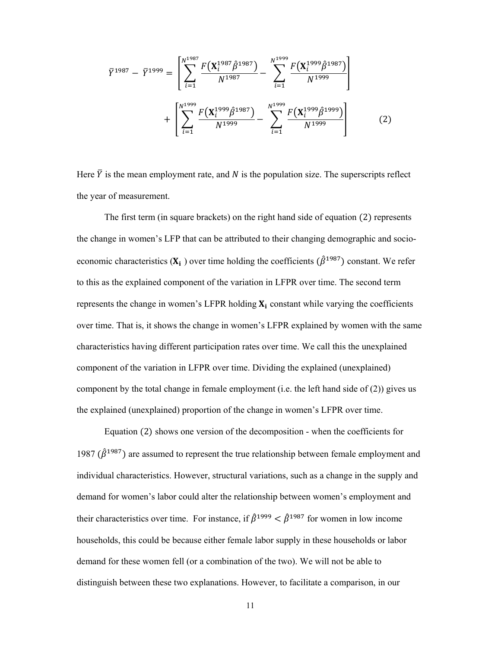$$
\bar{Y}^{1987} - \bar{Y}^{1999} = \left[ \sum_{i=1}^{N^{1987}} \frac{F(X_i^{1987} \hat{\beta}^{1987})}{N^{1987}} - \sum_{i=1}^{N^{1999}} \frac{F(X_i^{1999} \hat{\beta}^{1987})}{N^{1999}} \right] + \left[ \sum_{i=1}^{N^{1999}} \frac{F(X_i^{1999} \hat{\beta}^{1987})}{N^{1999}} - \sum_{i=1}^{N^{1999}} \frac{F(X_i^{1999} \hat{\beta}^{1999})}{N^{1999}} \right] \tag{2}
$$

Here  $\bar{Y}$  is the mean employment rate, and N is the population size. The superscripts reflect the year of measurement.

The first term (in square brackets) on the right hand side of equation (2) represents the change in women's LFP that can be attributed to their changing demographic and socioeconomic characteristics  $(X_i)$  over time holding the coefficients  $(\hat{\beta}^{1987})$  constant. We refer to this as the explained component of the variation in LFPR over time. The second term represents the change in women's LFPR holding  $X_i$  constant while varying the coefficients over time. That is, it shows the change in women's LFPR explained by women with the same characteristics having different participation rates over time. We call this the unexplained component of the variation in LFPR over time. Dividing the explained (unexplained) component by the total change in female employment (i.e. the left hand side of (2)) gives us the explained (unexplained) proportion of the change in women's LFPR over time.

Equation  $(2)$  shows one version of the decomposition - when the coefficients for 1987 ( $\hat{\beta}^{1987}$ ) are assumed to represent the true relationship between female employment and individual characteristics. However, structural variations, such as a change in the supply and demand for women's labor could alter the relationship between women's employment and their characteristics over time. For instance, if  $\hat{\beta}^{1999} < \hat{\beta}^{1987}$  for women in low income households, this could be because either female labor supply in these households or labor demand for these women fell (or a combination of the two). We will not be able to distinguish between these two explanations. However, to facilitate a comparison, in our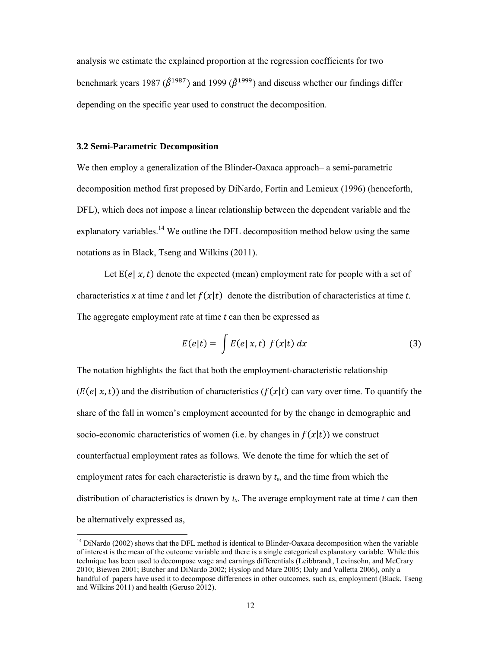analysis we estimate the explained proportion at the regression coefficients for two benchmark years 1987 ( $\hat{\beta}^{1987}$ ) and 1999 ( $\hat{\beta}^{1999}$ ) and discuss whether our findings differ depending on the specific year used to construct the decomposition.

#### **3.2 Semi-Parametric Decomposition**

We then employ a generalization of the Blinder-Oaxaca approach– a semi-parametric decomposition method first proposed by DiNardo, Fortin and Lemieux (1996) (henceforth, DFL), which does not impose a linear relationship between the dependent variable and the explanatory variables.<sup>14</sup> We outline the DFL decomposition method below using the same notations as in Black, Tseng and Wilkins (2011).

Let  $E(e | x, t)$  denote the expected (mean) employment rate for people with a set of characteristics x at time t and let  $f(x|t)$  denote the distribution of characteristics at time t. The aggregate employment rate at time *t* can then be expressed as

$$
E(e|t) = \int E(e|x,t) f(x|t) dx
$$
 (3)

The notation highlights the fact that both the employment-characteristic relationship  $(E(e | x, t))$  and the distribution of characteristics  $(f(x | t))$  can vary over time. To quantify the share of the fall in women's employment accounted for by the change in demographic and socio-economic characteristics of women (i.e. by changes in  $f(x|t)$ ) we construct counterfactual employment rates as follows. We denote the time for which the set of employment rates for each characteristic is drawn by *te*, and the time from which the distribution of characteristics is drawn by  $t<sub>x</sub>$ . The average employment rate at time  $t$  can then be alternatively expressed as,

<sup>&</sup>lt;sup>14</sup> DiNardo (2002) shows that the DFL method is identical to Blinder-Oaxaca decomposition when the variable of interest is the mean of the outcome variable and there is a single categorical explanatory variable. While this technique has been used to decompose wage and earnings differentials (Leibbrandt, Levinsohn, and McCrary 2010; Biewen 2001; Butcher and DiNardo 2002; Hyslop and Mare 2005; Daly and Valletta 2006), only a handful of papers have used it to decompose differences in other outcomes, such as, employment (Black, Tseng and Wilkins 2011) and health (Geruso 2012).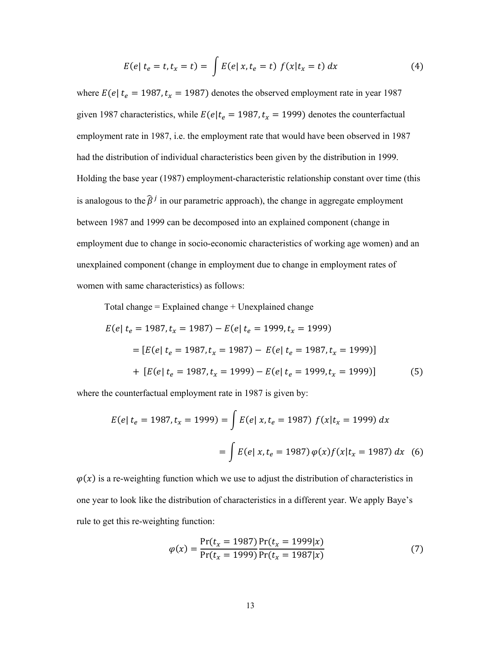$$
E(e | t_e = t, t_x = t) = \int E(e | x, t_e = t) f(x | t_x = t) dx
$$
 (4)

where  $E(e | t_e = 1987, t_x = 1987)$  denotes the observed employment rate in year 1987 given 1987 characteristics, while  $E(e|t_e = 1987, t_x = 1999)$  denotes the counterfactual employment rate in 1987, i.e. the employment rate that would have been observed in 1987 had the distribution of individual characteristics been given by the distribution in 1999. Holding the base year (1987) employment-characteristic relationship constant over time (this is analogous to the  $\hat{\beta}^j$  in our parametric approach), the change in aggregate employment between 1987 and 1999 can be decomposed into an explained component (change in employment due to change in socio-economic characteristics of working age women) and an unexplained component (change in employment due to change in employment rates of women with same characteristics) as follows:

Total change  $=$  Explained change  $+$  Unexplained change

$$
E(e | t_e = 1987, t_x = 1987) - E(e | t_e = 1999, t_x = 1999)
$$
  
= 
$$
[E(e | t_e = 1987, t_x = 1987) - E(e | t_e = 1987, t_x = 1999)]
$$
  
+ 
$$
[E(e | t_e = 1987, t_x = 1999) - E(e | t_e = 1999, t_x = 1999)]
$$
 (5)

where the counterfactual employment rate in 1987 is given by:

$$
E(e | t_e = 1987, t_x = 1999) = \int E(e | x, t_e = 1987) f(x | t_x = 1999) dx
$$

$$
= \int E(e | x, t_e = 1987) \varphi(x) f(x | t_x = 1987) dx \quad (6)
$$

 $\varphi(x)$  is a re-weighting function which we use to adjust the distribution of characteristics in one year to look like the distribution of characteristics in a different year. We apply Baye's rule to get this re-weighting function:

$$
\varphi(x) = \frac{\Pr(t_x = 1987)}{\Pr(t_x = 1999)} \frac{\Pr(t_x = 1999 \mid x)}{\Pr(t_x = 1987 \mid x)}
$$
(7)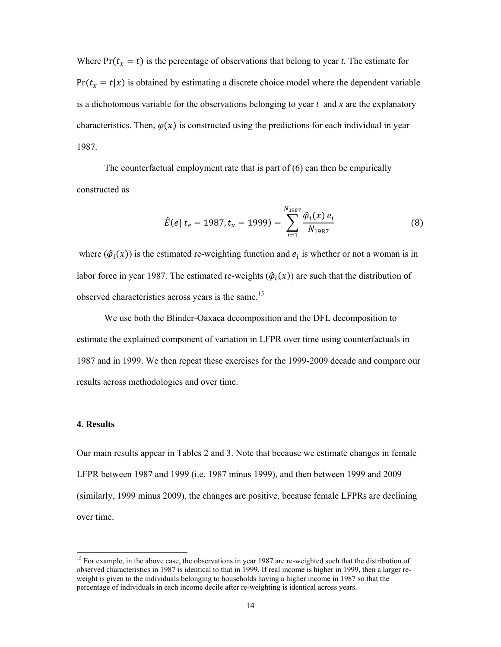Where  $Pr(t_x = t)$  is the percentage of observations that belong to year *t*. The estimate for  $Pr(t_x = t | x)$  is obtained by estimating a discrete choice model where the dependent variable is a dichotomous variable for the observations belonging to year *t* and *x* are the explanatory characteristics. Then,  $\varphi(x)$  is constructed using the predictions for each individual in year 1987.

The counterfactual employment rate that is part of  $(6)$  can then be empirically constructed as

$$
\hat{E}(e \mid t_e = 1987, t_x = 1999) = \sum_{i=1}^{N_{1987}} \frac{\hat{\varphi}_i(x) \, e_i}{N_{1987}}
$$
(8)

where  $(\hat{\varphi}_i(x))$  is the estimated re-weighting function and  $e_i$  is whether or not a woman is in labor force in year 1987. The estimated re-weights  $(\hat{\varphi}_i(x))$  are such that the distribution of observed characteristics across years is the same.<sup>15</sup>

We use both the Blinder-Oaxaca decomposition and the DFL decomposition to estimate the explained component of variation in LFPR over time using counterfactuals in 1987 and in 1999. We then repeat these exercises for the 1999-2009 decade and compare our results across methodologies and over time.

#### **4. Results**

Our main results appear in Tables 2 and 3. Note that because we estimate changes in female LFPR between 1987 and 1999 (i.e. 1987 minus 1999), and then between 1999 and 2009 (similarly, 1999 minus 2009), the changes are positive, because female LFPRs are declining over time.

<sup>&</sup>lt;sup>15</sup> For example, in the above case, the observations in year 1987 are re-weighted such that the distribution of observed characteristics in 1987 is identical to that in 1999. If real income is higher in 1999, then a larger reweight is given to the individuals belonging to households having a higher income in 1987 so that the percentage of individuals in each income decile after re-weighting is identical across years.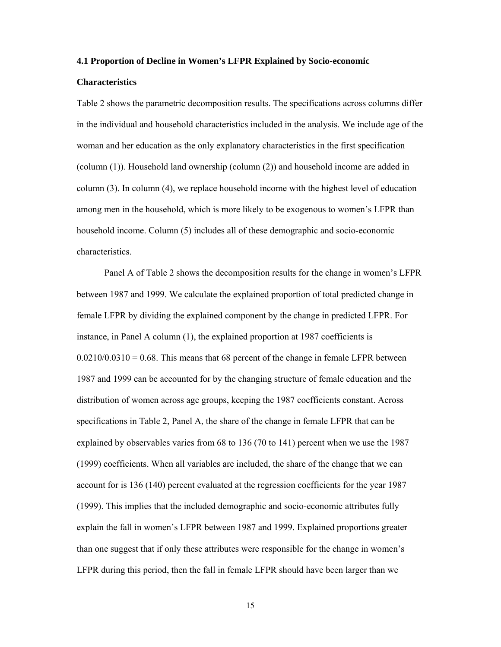#### **4.1 Proportion of Decline in Women's LFPR Explained by Socio-economic**

#### **Characteristics**

Table 2 shows the parametric decomposition results. The specifications across columns differ in the individual and household characteristics included in the analysis. We include age of the woman and her education as the only explanatory characteristics in the first specification (column (1)). Household land ownership (column (2)) and household income are added in column (3). In column (4), we replace household income with the highest level of education among men in the household, which is more likely to be exogenous to women's LFPR than household income. Column (5) includes all of these demographic and socio-economic characteristics.

Panel A of Table 2 shows the decomposition results for the change in women's LFPR between 1987 and 1999. We calculate the explained proportion of total predicted change in female LFPR by dividing the explained component by the change in predicted LFPR. For instance, in Panel A column (1), the explained proportion at 1987 coefficients is  $0.0210/0.0310 = 0.68$ . This means that 68 percent of the change in female LFPR between 1987 and 1999 can be accounted for by the changing structure of female education and the distribution of women across age groups, keeping the 1987 coefficients constant. Across specifications in Table 2, Panel A, the share of the change in female LFPR that can be explained by observables varies from 68 to 136 (70 to 141) percent when we use the 1987 (1999) coefficients. When all variables are included, the share of the change that we can account for is 136 (140) percent evaluated at the regression coefficients for the year 1987 (1999). This implies that the included demographic and socio-economic attributes fully explain the fall in women's LFPR between 1987 and 1999. Explained proportions greater than one suggest that if only these attributes were responsible for the change in women's LFPR during this period, then the fall in female LFPR should have been larger than we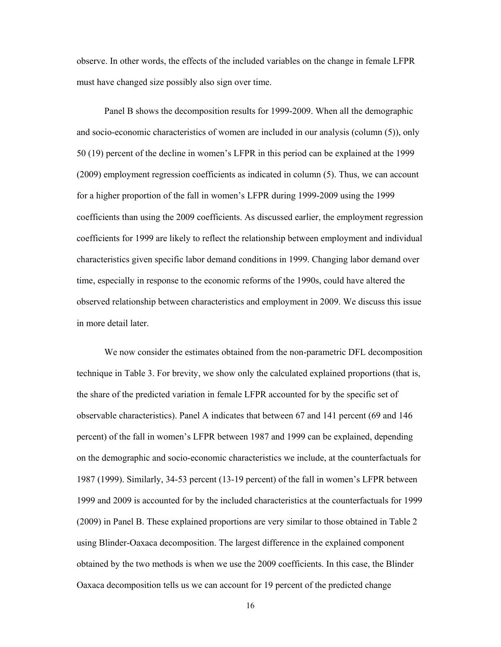observe. In other words, the effects of the included variables on the change in female LFPR must have changed size possibly also sign over time.

Panel B shows the decomposition results for 1999-2009. When all the demographic and socio-economic characteristics of women are included in our analysis (column (5)), only 50 (19) percent of the decline in women's LFPR in this period can be explained at the 1999 (2009) employment regression coefficients as indicated in column (5). Thus, we can account for a higher proportion of the fall in women's LFPR during 1999-2009 using the 1999 coefficients than using the 2009 coefficients. As discussed earlier, the employment regression coefficients for 1999 are likely to reflect the relationship between employment and individual characteristics given specific labor demand conditions in 1999. Changing labor demand over time, especially in response to the economic reforms of the 1990s, could have altered the observed relationship between characteristics and employment in 2009. We discuss this issue in more detail later.

We now consider the estimates obtained from the non-parametric DFL decomposition technique in Table 3. For brevity, we show only the calculated explained proportions (that is, the share of the predicted variation in female LFPR accounted for by the specific set of observable characteristics). Panel A indicates that between 67 and 141 percent (69 and 146 percent) of the fall in women's LFPR between 1987 and 1999 can be explained, depending on the demographic and socio-economic characteristics we include, at the counterfactuals for 1987 (1999). Similarly, 34-53 percent (13-19 percent) of the fall in women's LFPR between 1999 and 2009 is accounted for by the included characteristics at the counterfactuals for 1999 (2009) in Panel B. These explained proportions are very similar to those obtained in Table 2 using Blinder-Oaxaca decomposition. The largest difference in the explained component obtained by the two methods is when we use the 2009 coefficients. In this case, the Blinder Oaxaca decomposition tells us we can account for 19 percent of the predicted change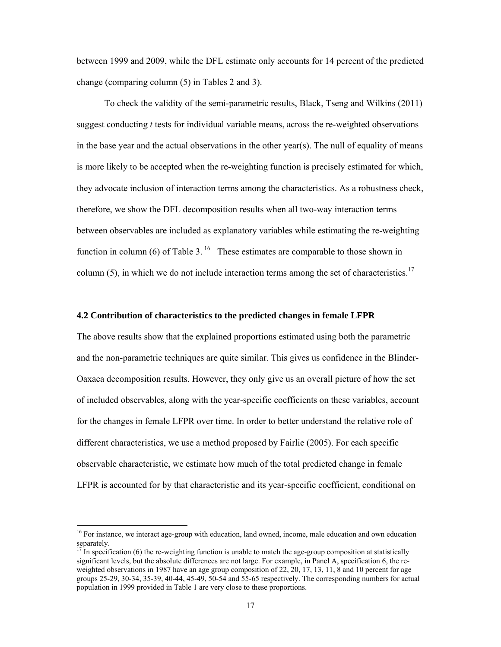between 1999 and 2009, while the DFL estimate only accounts for 14 percent of the predicted change (comparing column (5) in Tables 2 and 3).

To check the validity of the semi-parametric results, Black, Tseng and Wilkins (2011) suggest conducting *t* tests for individual variable means, across the re-weighted observations in the base year and the actual observations in the other year(s). The null of equality of means is more likely to be accepted when the re-weighting function is precisely estimated for which, they advocate inclusion of interaction terms among the characteristics. As a robustness check, therefore, we show the DFL decomposition results when all two-way interaction terms between observables are included as explanatory variables while estimating the re-weighting function in column (6) of Table 3.<sup>16</sup> These estimates are comparable to those shown in column (5), in which we do not include interaction terms among the set of characteristics.<sup>17</sup>

#### **4.2 Contribution of characteristics to the predicted changes in female LFPR**

The above results show that the explained proportions estimated using both the parametric and the non-parametric techniques are quite similar. This gives us confidence in the Blinder-Oaxaca decomposition results. However, they only give us an overall picture of how the set of included observables, along with the year-specific coefficients on these variables, account for the changes in female LFPR over time. In order to better understand the relative role of different characteristics, we use a method proposed by Fairlie (2005). For each specific observable characteristic, we estimate how much of the total predicted change in female LFPR is accounted for by that characteristic and its year-specific coefficient, conditional on

<sup>&</sup>lt;sup>16</sup> For instance, we interact age-group with education, land owned, income, male education and own education separately.

 $17$  In specification (6) the re-weighting function is unable to match the age-group composition at statistically significant levels, but the absolute differences are not large. For example, in Panel A, specification 6, the reweighted observations in 1987 have an age group composition of 22, 20, 17, 13, 11, 8 and 10 percent for age groups 25-29, 30-34, 35-39, 40-44, 45-49, 50-54 and 55-65 respectively. The corresponding numbers for actual population in 1999 provided in Table 1 are very close to these proportions.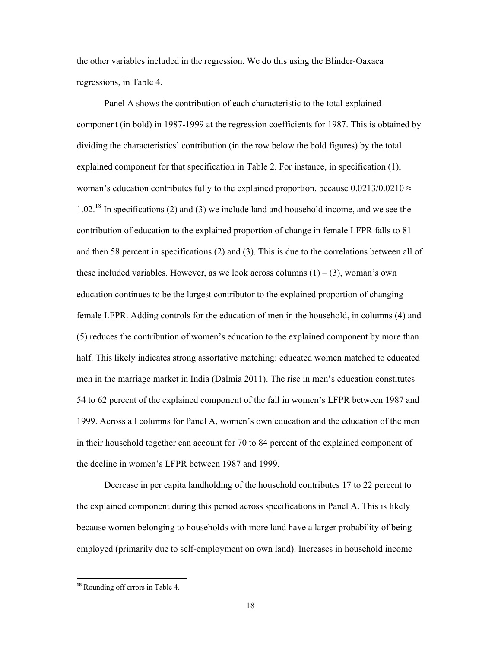the other variables included in the regression. We do this using the Blinder-Oaxaca regressions, in Table 4.

Panel A shows the contribution of each characteristic to the total explained component (in bold) in 1987-1999 at the regression coefficients for 1987. This is obtained by dividing the characteristics' contribution (in the row below the bold figures) by the total explained component for that specification in Table 2. For instance, in specification (1), woman's education contributes fully to the explained proportion, because  $0.0213/0.0210 \approx$  $1.02<sup>18</sup>$  In specifications (2) and (3) we include land and household income, and we see the contribution of education to the explained proportion of change in female LFPR falls to 81 and then 58 percent in specifications (2) and (3). This is due to the correlations between all of these included variables. However, as we look across columns  $(1) - (3)$ , woman's own education continues to be the largest contributor to the explained proportion of changing female LFPR. Adding controls for the education of men in the household, in columns (4) and (5) reduces the contribution of women's education to the explained component by more than half. This likely indicates strong assortative matching: educated women matched to educated men in the marriage market in India (Dalmia 2011). The rise in men's education constitutes 54 to 62 percent of the explained component of the fall in women's LFPR between 1987 and 1999. Across all columns for Panel A, women's own education and the education of the men in their household together can account for 70 to 84 percent of the explained component of the decline in women's LFPR between 1987 and 1999.

Decrease in per capita landholding of the household contributes 17 to 22 percent to the explained component during this period across specifications in Panel A. This is likely because women belonging to households with more land have a larger probability of being employed (primarily due to self-employment on own land). Increases in household income

 **<sup>18</sup>** Rounding off errors in Table 4.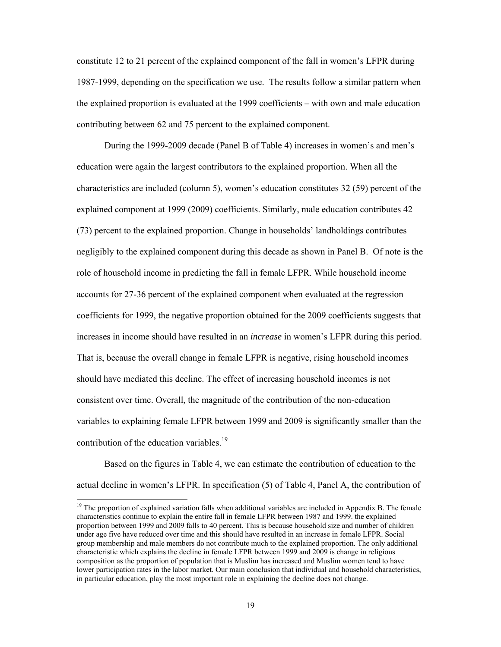constitute 12 to 21 percent of the explained component of the fall in women's LFPR during 1987-1999, depending on the specification we use. The results follow a similar pattern when the explained proportion is evaluated at the 1999 coefficients – with own and male education contributing between 62 and 75 percent to the explained component.

During the 1999-2009 decade (Panel B of Table 4) increases in women's and men's education were again the largest contributors to the explained proportion. When all the characteristics are included (column 5), women's education constitutes 32 (59) percent of the explained component at 1999 (2009) coefficients. Similarly, male education contributes 42 (73) percent to the explained proportion. Change in households' landholdings contributes negligibly to the explained component during this decade as shown in Panel B. Of note is the role of household income in predicting the fall in female LFPR. While household income accounts for 27-36 percent of the explained component when evaluated at the regression coefficients for 1999, the negative proportion obtained for the 2009 coefficients suggests that increases in income should have resulted in an *increase* in women's LFPR during this period. That is, because the overall change in female LFPR is negative, rising household incomes should have mediated this decline. The effect of increasing household incomes is not consistent over time. Overall, the magnitude of the contribution of the non-education variables to explaining female LFPR between 1999 and 2009 is significantly smaller than the contribution of the education variables.<sup>19</sup>

Based on the figures in Table 4, we can estimate the contribution of education to the actual decline in women's LFPR. In specification (5) of Table 4, Panel A, the contribution of

<sup>&</sup>lt;sup>19</sup> The proportion of explained variation falls when additional variables are included in Appendix B. The female characteristics continue to explain the entire fall in female LFPR between 1987 and 1999. the explained proportion between 1999 and 2009 falls to 40 percent. This is because household size and number of children under age five have reduced over time and this should have resulted in an increase in female LFPR. Social group membership and male members do not contribute much to the explained proportion. The only additional characteristic which explains the decline in female LFPR between 1999 and 2009 is change in religious composition as the proportion of population that is Muslim has increased and Muslim women tend to have lower participation rates in the labor market. Our main conclusion that individual and household characteristics, in particular education, play the most important role in explaining the decline does not change.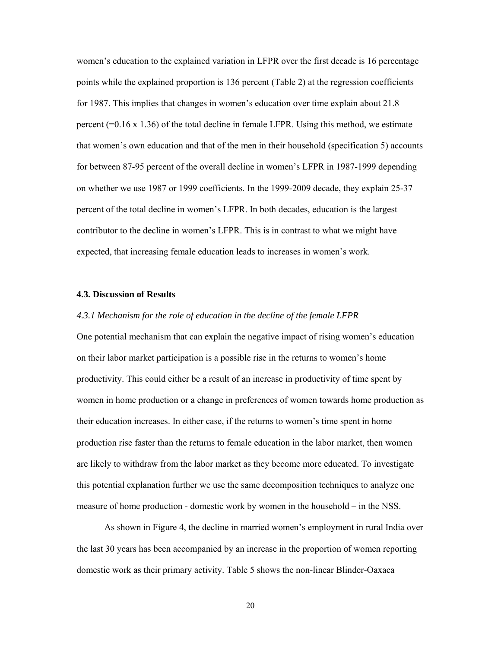women's education to the explained variation in LFPR over the first decade is 16 percentage points while the explained proportion is 136 percent (Table 2) at the regression coefficients for 1987. This implies that changes in women's education over time explain about 21.8 percent  $(=0.16 \times 1.36)$  of the total decline in female LFPR. Using this method, we estimate that women's own education and that of the men in their household (specification 5) accounts for between 87-95 percent of the overall decline in women's LFPR in 1987-1999 depending on whether we use 1987 or 1999 coefficients. In the 1999-2009 decade, they explain 25-37 percent of the total decline in women's LFPR. In both decades, education is the largest contributor to the decline in women's LFPR. This is in contrast to what we might have expected, that increasing female education leads to increases in women's work.

#### **4.3. Discussion of Results**

#### *4.3.1 Mechanism for the role of education in the decline of the female LFPR*

One potential mechanism that can explain the negative impact of rising women's education on their labor market participation is a possible rise in the returns to women's home productivity. This could either be a result of an increase in productivity of time spent by women in home production or a change in preferences of women towards home production as their education increases. In either case, if the returns to women's time spent in home production rise faster than the returns to female education in the labor market, then women are likely to withdraw from the labor market as they become more educated. To investigate this potential explanation further we use the same decomposition techniques to analyze one measure of home production - domestic work by women in the household – in the NSS.

As shown in Figure 4, the decline in married women's employment in rural India over the last 30 years has been accompanied by an increase in the proportion of women reporting domestic work as their primary activity. Table 5 shows the non-linear Blinder-Oaxaca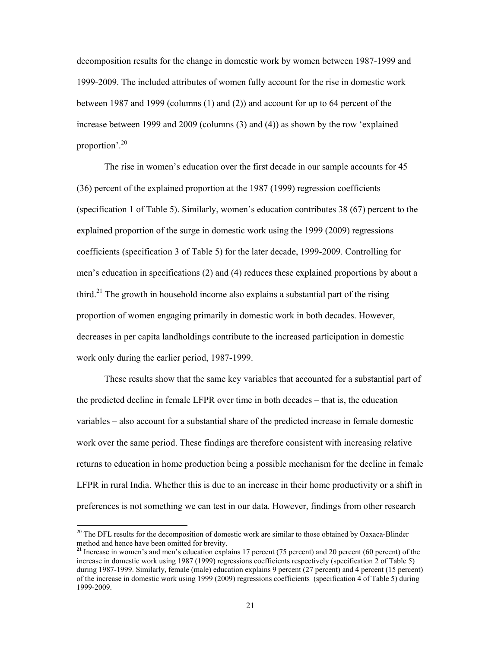decomposition results for the change in domestic work by women between 1987-1999 and 1999-2009. The included attributes of women fully account for the rise in domestic work between 1987 and 1999 (columns (1) and (2)) and account for up to 64 percent of the increase between 1999 and 2009 (columns (3) and (4)) as shown by the row 'explained proportion'.20

The rise in women's education over the first decade in our sample accounts for 45 (36) percent of the explained proportion at the 1987 (1999) regression coefficients (specification 1 of Table 5). Similarly, women's education contributes 38 (67) percent to the explained proportion of the surge in domestic work using the 1999 (2009) regressions coefficients (specification 3 of Table 5) for the later decade, 1999-2009. Controlling for men's education in specifications (2) and (4) reduces these explained proportions by about a third.<sup>21</sup> The growth in household income also explains a substantial part of the rising proportion of women engaging primarily in domestic work in both decades. However, decreases in per capita landholdings contribute to the increased participation in domestic work only during the earlier period, 1987-1999.

These results show that the same key variables that accounted for a substantial part of the predicted decline in female LFPR over time in both decades – that is, the education variables – also account for a substantial share of the predicted increase in female domestic work over the same period. These findings are therefore consistent with increasing relative returns to education in home production being a possible mechanism for the decline in female LFPR in rural India. Whether this is due to an increase in their home productivity or a shift in preferences is not something we can test in our data. However, findings from other research

<sup>&</sup>lt;sup>20</sup> The DFL results for the decomposition of domestic work are similar to those obtained by Oaxaca-Blinder method and hence have been omitted for brevity.

**<sup>21</sup>** Increase in women's and men's education explains 17 percent (75 percent) and 20 percent (60 percent) of the increase in domestic work using 1987 (1999) regressions coefficients respectively (specification 2 of Table 5) during 1987-1999. Similarly, female (male) education explains 9 percent (27 percent) and 4 percent (15 percent) of the increase in domestic work using 1999 (2009) regressions coefficients (specification 4 of Table 5) during 1999-2009.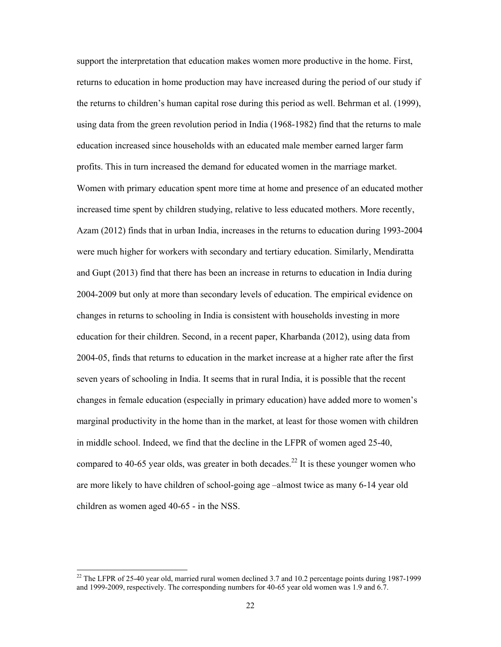support the interpretation that education makes women more productive in the home. First, returns to education in home production may have increased during the period of our study if the returns to children's human capital rose during this period as well. Behrman et al. (1999), using data from the green revolution period in India (1968-1982) find that the returns to male education increased since households with an educated male member earned larger farm profits. This in turn increased the demand for educated women in the marriage market. Women with primary education spent more time at home and presence of an educated mother increased time spent by children studying, relative to less educated mothers. More recently, Azam (2012) finds that in urban India, increases in the returns to education during 1993-2004 were much higher for workers with secondary and tertiary education. Similarly, Mendiratta and Gupt (2013) find that there has been an increase in returns to education in India during 2004-2009 but only at more than secondary levels of education. The empirical evidence on changes in returns to schooling in India is consistent with households investing in more education for their children. Second, in a recent paper, Kharbanda (2012), using data from 2004-05, finds that returns to education in the market increase at a higher rate after the first seven years of schooling in India. It seems that in rural India, it is possible that the recent changes in female education (especially in primary education) have added more to women's marginal productivity in the home than in the market, at least for those women with children in middle school. Indeed, we find that the decline in the LFPR of women aged 25-40, compared to 40-65 year olds, was greater in both decades.<sup>22</sup> It is these younger women who are more likely to have children of school-going age –almost twice as many 6-14 year old children as women aged 40-65 - in the NSS.

<sup>&</sup>lt;sup>22</sup> The LFPR of 25-40 year old, married rural women declined 3.7 and 10.2 percentage points during 1987-1999 and 1999-2009, respectively. The corresponding numbers for 40-65 year old women was 1.9 and 6.7.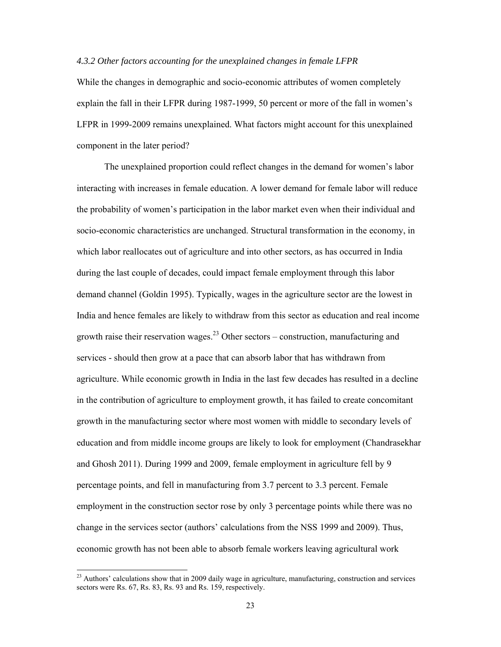#### *4.3.2 Other factors accounting for the unexplained changes in female LFPR*

While the changes in demographic and socio-economic attributes of women completely explain the fall in their LFPR during 1987-1999, 50 percent or more of the fall in women's LFPR in 1999-2009 remains unexplained. What factors might account for this unexplained component in the later period?

The unexplained proportion could reflect changes in the demand for women's labor interacting with increases in female education. A lower demand for female labor will reduce the probability of women's participation in the labor market even when their individual and socio-economic characteristics are unchanged. Structural transformation in the economy, in which labor reallocates out of agriculture and into other sectors, as has occurred in India during the last couple of decades, could impact female employment through this labor demand channel (Goldin 1995). Typically, wages in the agriculture sector are the lowest in India and hence females are likely to withdraw from this sector as education and real income growth raise their reservation wages.<sup>23</sup> Other sectors – construction, manufacturing and services - should then grow at a pace that can absorb labor that has withdrawn from agriculture. While economic growth in India in the last few decades has resulted in a decline in the contribution of agriculture to employment growth, it has failed to create concomitant growth in the manufacturing sector where most women with middle to secondary levels of education and from middle income groups are likely to look for employment (Chandrasekhar and Ghosh 2011). During 1999 and 2009, female employment in agriculture fell by 9 percentage points, and fell in manufacturing from 3.7 percent to 3.3 percent. Female employment in the construction sector rose by only 3 percentage points while there was no change in the services sector (authors' calculations from the NSS 1999 and 2009). Thus, economic growth has not been able to absorb female workers leaving agricultural work

<sup>&</sup>lt;sup>23</sup> Authors' calculations show that in 2009 daily wage in agriculture, manufacturing, construction and services sectors were Rs. 67, Rs. 83, Rs. 93 and Rs. 159, respectively.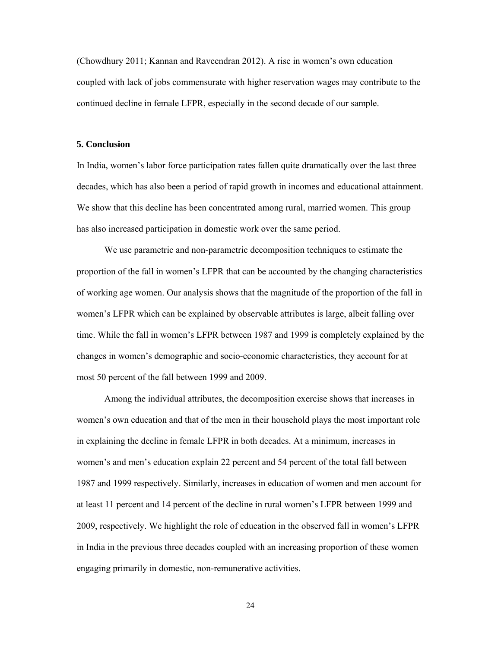(Chowdhury 2011; Kannan and Raveendran 2012). A rise in women's own education coupled with lack of jobs commensurate with higher reservation wages may contribute to the continued decline in female LFPR, especially in the second decade of our sample.

#### **5. Conclusion**

In India, women's labor force participation rates fallen quite dramatically over the last three decades, which has also been a period of rapid growth in incomes and educational attainment. We show that this decline has been concentrated among rural, married women. This group has also increased participation in domestic work over the same period.

We use parametric and non-parametric decomposition techniques to estimate the proportion of the fall in women's LFPR that can be accounted by the changing characteristics of working age women. Our analysis shows that the magnitude of the proportion of the fall in women's LFPR which can be explained by observable attributes is large, albeit falling over time. While the fall in women's LFPR between 1987 and 1999 is completely explained by the changes in women's demographic and socio-economic characteristics, they account for at most 50 percent of the fall between 1999 and 2009.

Among the individual attributes, the decomposition exercise shows that increases in women's own education and that of the men in their household plays the most important role in explaining the decline in female LFPR in both decades. At a minimum, increases in women's and men's education explain 22 percent and 54 percent of the total fall between 1987 and 1999 respectively. Similarly, increases in education of women and men account for at least 11 percent and 14 percent of the decline in rural women's LFPR between 1999 and 2009, respectively. We highlight the role of education in the observed fall in women's LFPR in India in the previous three decades coupled with an increasing proportion of these women engaging primarily in domestic, non-remunerative activities.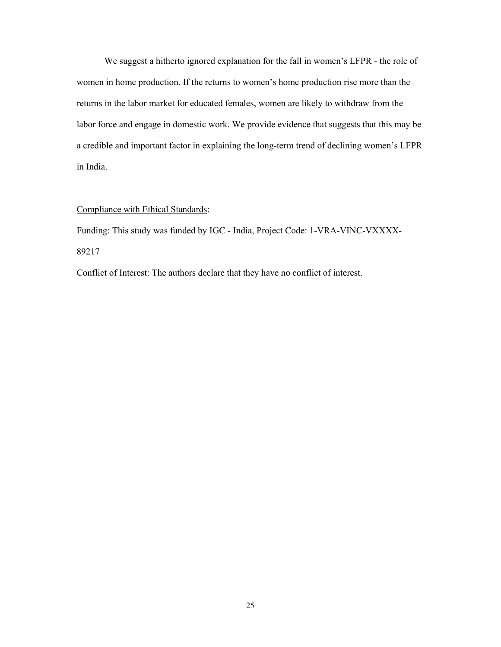We suggest a hitherto ignored explanation for the fall in women's LFPR - the role of women in home production. If the returns to women's home production rise more than the returns in the labor market for educated females, women are likely to withdraw from the labor force and engage in domestic work. We provide evidence that suggests that this may be a credible and important factor in explaining the long-term trend of declining women's LFPR in India.

#### Compliance with Ethical Standards:

Funding: This study was funded by IGC - India, Project Code: 1-VRA-VINC-VXXXX-89217

Conflict of Interest: The authors declare that they have no conflict of interest.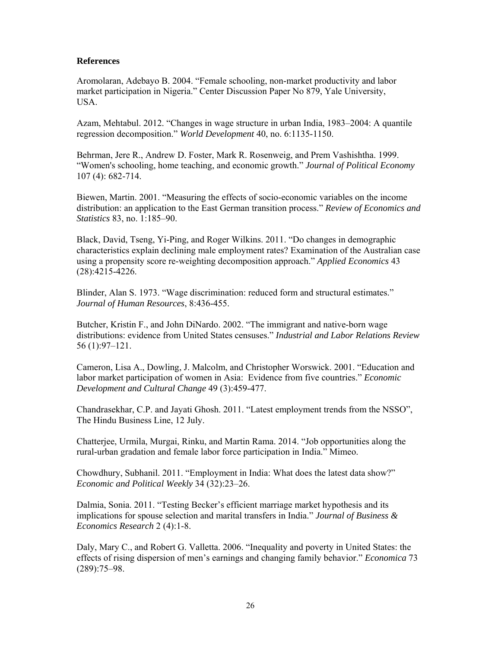### **References**

Aromolaran, Adebayo B. 2004. "Female schooling, non-market productivity and labor market participation in Nigeria." Center Discussion Paper No 879, Yale University, USA.

Azam, Mehtabul. 2012. "Changes in wage structure in urban India, 1983–2004: A quantile regression decomposition." *World Development* 40, no. 6:1135-1150.

Behrman, Jere R., Andrew D. Foster, Mark R. Rosenweig, and Prem Vashishtha. 1999. "Women's schooling, home teaching, and economic growth." *Journal of Political Economy* 107 (4): 682-714.

Biewen, Martin. 2001. "Measuring the effects of socio-economic variables on the income distribution: an application to the East German transition process." *Review of Economics and Statistics* 83, no. 1:185–90.

Black, David, Tseng, Yi-Ping, and Roger Wilkins. 2011. "Do changes in demographic characteristics explain declining male employment rates? Examination of the Australian case using a propensity score re-weighting decomposition approach." *Applied Economics* 43 (28):4215-4226.

Blinder, Alan S. 1973. "Wage discrimination: reduced form and structural estimates." *Journal of Human Resources*, 8:436-455.

Butcher, Kristin F., and John DiNardo. 2002. "The immigrant and native-born wage distributions: evidence from United States censuses." *Industrial and Labor Relations Review* 56 (1):97–121.

Cameron, Lisa A., Dowling, J. Malcolm, and Christopher Worswick. 2001. "Education and labor market participation of women in Asia: Evidence from five countries." *Economic Development and Cultural Change* 49 (3):459-477.

Chandrasekhar, C.P. and Jayati Ghosh. 2011. "Latest employment trends from the NSSO", The Hindu Business Line, 12 July.

Chatterjee, Urmila, Murgai, Rinku, and Martin Rama. 2014. "Job opportunities along the rural-urban gradation and female labor force participation in India." Mimeo.

Chowdhury, Subhanil. 2011. "Employment in India: What does the latest data show?" *Economic and Political Weekly* 34 (32):23‒26.

Dalmia, Sonia. 2011. "Testing Becker's efficient marriage market hypothesis and its implications for spouse selection and marital transfers in India." *Journal of Business & Economics Research* 2 (4):1-8.

Daly, Mary C., and Robert G. Valletta. 2006. "Inequality and poverty in United States: the effects of rising dispersion of men's earnings and changing family behavior." *Economica* 73 (289):75–98.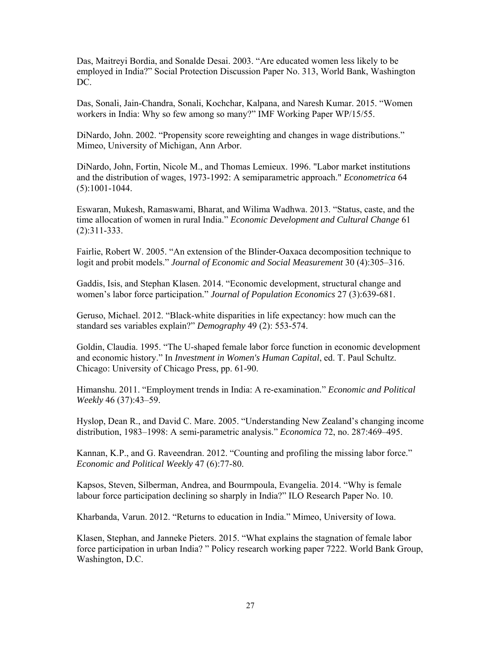Das, Maitreyi Bordia, and Sonalde Desai. 2003. "Are educated women less likely to be employed in India?" Social Protection Discussion Paper No. 313, World Bank, Washington DC.

Das, Sonali, Jain-Chandra, Sonali, Kochchar, Kalpana, and Naresh Kumar. 2015. "Women workers in India: Why so few among so many?" IMF Working Paper WP/15/55.

DiNardo, John. 2002. "Propensity score reweighting and changes in wage distributions." Mimeo, University of Michigan, Ann Arbor.

DiNardo, John, Fortin, Nicole M., and Thomas Lemieux. 1996. "Labor market institutions and the distribution of wages, 1973-1992: A semiparametric approach." *Econometrica* 64 (5):1001-1044.

Eswaran, Mukesh, Ramaswami, Bharat, and Wilima Wadhwa. 2013. "Status, caste, and the time allocation of women in rural India." *Economic Development and Cultural Change* 61 (2):311-333.

Fairlie, Robert W. 2005. "An extension of the Blinder-Oaxaca decomposition technique to logit and probit models." *Journal of Economic and Social Measurement* 30 (4):305–316.

Gaddis, Isis, and Stephan Klasen. 2014. "Economic development, structural change and women's labor force participation." *Journal of Population Economics* 27 (3):639-681.

Geruso, Michael. 2012. "Black-white disparities in life expectancy: how much can the standard ses variables explain?" *Demography* 49 (2): 553-574.

Goldin, Claudia. 1995. "The U-shaped female labor force function in economic development and economic history." In *Investment in Women's Human Capital*, ed. T. Paul Schultz. Chicago: University of Chicago Press, pp. 61-90.

Himanshu. 2011. "Employment trends in India: A re-examination." *Economic and Political Weekly* 46 (37):43-59.

Hyslop, Dean R., and David C. Mare. 2005. "Understanding New Zealand's changing income distribution, 1983–1998: A semi-parametric analysis." *Economica* 72, no. 287:469–495.

Kannan, K.P., and G. Raveendran. 2012. "Counting and profiling the missing labor force." *Economic and Political Weekly* 47 (6):77-80.

Kapsos, Steven, Silberman, Andrea, and Bourmpoula, Evangelia. 2014. "Why is female labour force participation declining so sharply in India?" ILO Research Paper No. 10.

Kharbanda, Varun. 2012. "Returns to education in India." Mimeo, University of Iowa.

Klasen, Stephan, and Janneke Pieters. 2015. "What explains the stagnation of female labor force participation in urban India? " Policy research working paper 7222. World Bank Group, Washington, D.C.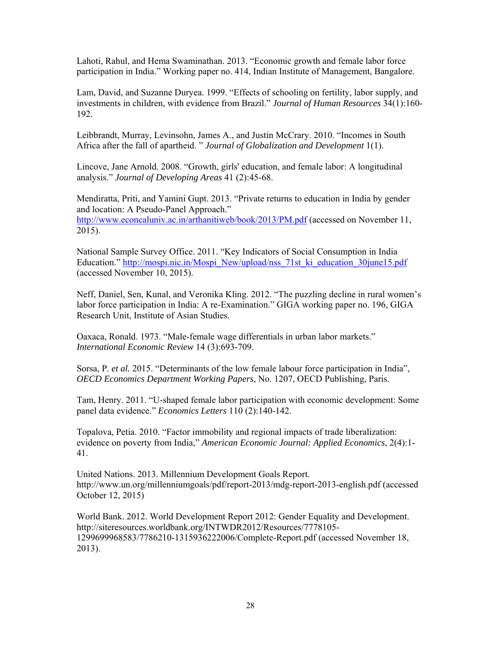Lahoti, Rahul, and Hema Swaminathan. 2013. "Economic growth and female labor force participation in India." Working paper no. 414, Indian Institute of Management, Bangalore.

Lam, David, and Suzanne Duryea. 1999. "Effects of schooling on fertility, labor supply, and investments in children, with evidence from Brazil." *Journal of Human Resources* 34(1):160- 192.

Leibbrandt, Murray, Levinsohn, James A., and Justin McCrary. 2010. "Incomes in South Africa after the fall of apartheid. " *Journal of Globalization and Development* 1(1).

Lincove, Jane Arnold. 2008. "Growth, girls' education, and female labor: A longitudinal analysis." *Journal of Developing Areas* 41 (2):45-68.

Mendiratta, Priti, and Yamini Gupt. 2013. "Private returns to education in India by gender and location: A Pseudo-Panel Approach." http://www.econcaluniv.ac.in/arthanitiweb/book/2013/PM.pdf (accessed on November 11, 2015).

National Sample Survey Office. 2011. "Key Indicators of Social Consumption in India Education." http://mospi.nic.in/Mospi\_New/upload/nss\_71st\_ki\_education\_30june15.pdf (accessed November 10, 2015).

Neff, Daniel, Sen, Kunal, and Veronika Kling. 2012. "The puzzling decline in rural women's labor force participation in India: A re-Examination." GIGA working paper no. 196, GIGA Research Unit, Institute of Asian Studies.

Oaxaca, Ronald. 1973. "Male-female wage differentials in urban labor markets." *International Economic Review* 14 (3):693-709.

Sorsa, P. *et al.* 2015. "Determinants of the low female labour force participation in India", *OECD Economics Department Working Papers*, No. 1207, OECD Publishing, Paris.

Tam, Henry. 2011. "U-shaped female labor participation with economic development: Some panel data evidence." *Economics Letters* 110 (2):140-142.

Topalova, Petia. 2010. "Factor immobility and regional impacts of trade liberalization: evidence on poverty from India," *American Economic Journal: Applied Economics*, 2(4):1- 41.

United Nations. 2013. Millennium Development Goals Report. http://www.un.org/millenniumgoals/pdf/report-2013/mdg-report-2013-english.pdf (accessed October 12, 2015)

World Bank. 2012. World Development Report 2012: Gender Equality and Development. http://siteresources.worldbank.org/INTWDR2012/Resources/7778105- 1299699968583/7786210-1315936222006/Complete-Report.pdf (accessed November 18, 2013).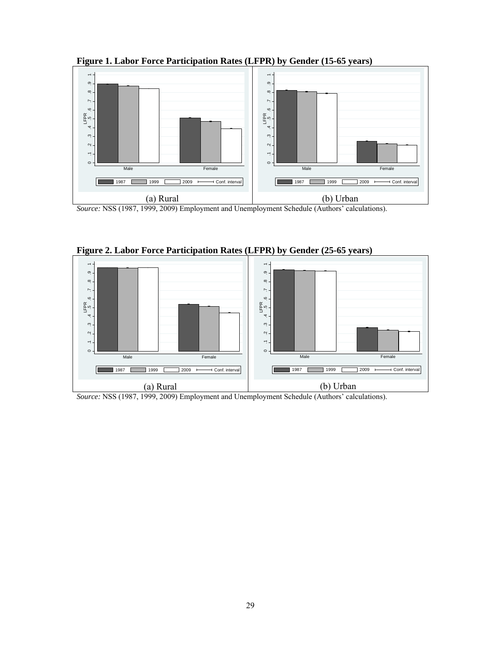**Figure 1. Labor Force Participation Rates (LFPR) by Gender (15-65 years)** 



*Source:* NSS (1987, 1999, 2009) Employment and Unemployment Schedule (Authors' calculations).



**Figure 2. Labor Force Participation Rates (LFPR) by Gender (25-65 years)** 

*Source:* NSS (1987, 1999, 2009) Employment and Unemployment Schedule (Authors' calculations).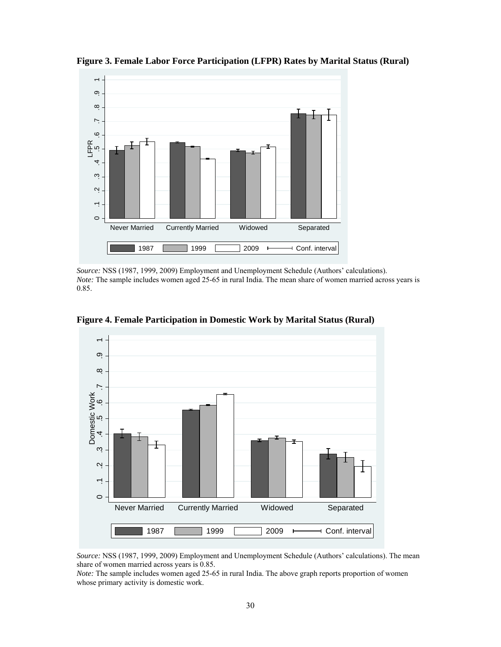

**Figure 3. Female Labor Force Participation (LFPR) Rates by Marital Status (Rural)** 

*Source:* NSS (1987, 1999, 2009) Employment and Unemployment Schedule (Authors' calculations). *Note:* The sample includes women aged 25-65 in rural India. The mean share of women married across years is 0.85.



**Figure 4. Female Participation in Domestic Work by Marital Status (Rural)** 

*Source:* NSS (1987, 1999, 2009) Employment and Unemployment Schedule (Authors' calculations). The mean share of women married across years is 0.85.

*Note:* The sample includes women aged 25-65 in rural India. The above graph reports proportion of women whose primary activity is domestic work.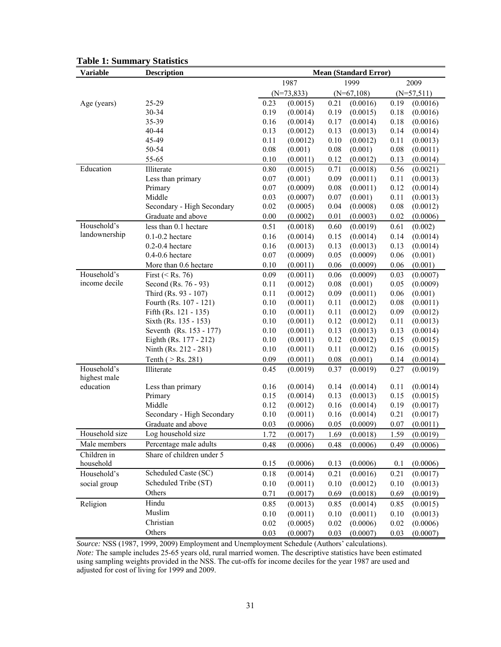| <b>Variable</b>             | <b>Description</b>         | <b>Mean (Standard Error)</b> |              |          |                   |          |                   |  |
|-----------------------------|----------------------------|------------------------------|--------------|----------|-------------------|----------|-------------------|--|
|                             |                            |                              | 1987         |          | 1999              |          | 2009              |  |
|                             |                            |                              | $(N=73,833)$ |          | $(N=67,108)$      |          | $(N=57,511)$      |  |
| Age (years)                 | 25-29                      | 0.23                         | (0.0015)     | 0.21     | (0.0016)          | 0.19     | (0.0016)          |  |
|                             | 30-34                      | 0.19                         | (0.0014)     | 0.19     | (0.0015)          | 0.18     | (0.0016)          |  |
|                             | 35-39                      | 0.16                         | (0.0014)     | 0.17     | (0.0014)          | 0.18     | (0.0016)          |  |
|                             | 40-44                      | 0.13                         | (0.0012)     | 0.13     | (0.0013)          | 0.14     | (0.0014)          |  |
|                             | 45-49                      | 0.11                         | (0.0012)     | 0.10     | (0.0012)          | 0.11     | (0.0013)          |  |
|                             | 50-54                      | 0.08                         | (0.001)      | $0.08\,$ | (0.001)           | $0.08\,$ | (0.0011)          |  |
|                             | 55-65                      | 0.10                         | (0.0011)     | 0.12     | (0.0012)          | 0.13     | (0.0014)          |  |
| Education                   | Illiterate                 | 0.80                         | (0.0015)     | 0.71     | (0.0018)          | 0.56     | (0.0021)          |  |
|                             | Less than primary          | 0.07                         | (0.001)      | 0.09     | (0.0011)          | 0.11     | (0.0013)          |  |
|                             | Primary                    | 0.07                         | (0.0009)     | 0.08     | (0.0011)          | 0.12     | (0.0014)          |  |
|                             | Middle                     | 0.03                         | (0.0007)     | 0.07     | (0.001)           | 0.11     | (0.0013)          |  |
|                             | Secondary - High Secondary | 0.02                         | (0.0005)     | 0.04     | (0.0008)          | $0.08\,$ | (0.0012)          |  |
|                             | Graduate and above         | 0.00                         | (0.0002)     | 0.01     | (0.0003)          | 0.02     | (0.0006)          |  |
| Household's                 | less than 0.1 hectare      | 0.51                         | (0.0018)     | 0.60     | (0.0019)          | 0.61     | (0.002)           |  |
| landownership               | $0.1 - 0.2$ hectare        | 0.16                         | (0.0014)     | 0.15     | (0.0014)          | 0.14     | (0.0014)          |  |
|                             | $0.2 - 0.4$ hectare        | 0.16                         | (0.0013)     | 0.13     | (0.0013)          | 0.13     | (0.0014)          |  |
|                             | $0.4 - 0.6$ hectare        | 0.07                         | (0.0009)     | 0.05     | (0.0009)          | 0.06     | (0.001)           |  |
|                             | More than 0.6 hectare      | 0.10                         | (0.0011)     | 0.06     | (0.0009)          | 0.06     | (0.001)           |  |
| Household's                 | First ( $\le$ Rs. 76)      | 0.09                         | (0.0011)     | 0.06     | (0.0009)          | 0.03     | (0.0007)          |  |
| income decile               | Second (Rs. 76 - 93)       | 0.11                         | (0.0012)     | 0.08     | (0.001)           | 0.05     | (0.0009)          |  |
|                             | Third (Rs. 93 - 107)       | 0.11                         | (0.0012)     | 0.09     | (0.0011)          | 0.06     | (0.001)           |  |
|                             | Fourth (Rs. 107 - 121)     | 0.10                         | (0.0011)     | 0.11     | (0.0012)          | $0.08\,$ | (0.0011)          |  |
|                             | Fifth (Rs. 121 - 135)      | 0.10                         | (0.0011)     | 0.11     | (0.0012)          | 0.09     | (0.0012)          |  |
|                             | Sixth (Rs. 135 - 153)      | 0.10                         | (0.0011)     | 0.12     | (0.0012)          | 0.11     | (0.0013)          |  |
|                             | Seventh (Rs. 153 - 177)    | 0.10                         | (0.0011)     | 0.13     | (0.0013)          | 0.13     | (0.0014)          |  |
|                             | Eighth (Rs. 177 - 212)     | 0.10                         | (0.0011)     | 0.12     | (0.0012)          | 0.15     | (0.0015)          |  |
|                             | Ninth (Rs. 212 - 281)      | 0.10                         | (0.0011)     | 0.11     | (0.0012)          | 0.16     | (0.0015)          |  |
|                             | Tenth ( $>$ Rs. 281)       | 0.09                         | (0.0011)     | 0.08     | (0.001)           | 0.14     | (0.0014)          |  |
| Household's<br>highest male | Illiterate                 | 0.45                         | (0.0019)     | 0.37     | (0.0019)          | 0.27     | (0.0019)          |  |
| education                   | Less than primary          | 0.16                         | (0.0014)     | 0.14     | (0.0014)          | 0.11     | (0.0014)          |  |
|                             | Primary                    | 0.15                         | (0.0014)     | 0.13     | (0.0013)          | 0.15     | (0.0015)          |  |
|                             | Middle                     | 0.12                         | (0.0012)     | 0.16     | (0.0014)          | 0.19     | (0.0017)          |  |
|                             | Secondary - High Secondary | 0.10                         | (0.0011)     | 0.16     | (0.0014)          | 0.21     | (0.0017)          |  |
|                             | Graduate and above         | 0.03                         | (0.0006)     | 0.05     | (0.0009)          | 0.07     | (0.0011)          |  |
| Household size              | Log household size         | 1.72                         | (0.0017)     |          | $1.69$ $(0.0018)$ |          | $1.59$ $(0.0019)$ |  |
| Male members                | Percentage male adults     | 0.48                         | (0.0006)     | 0.48     | (0.0006)          | 0.49     | (0.0006)          |  |
| Children in                 | Share of children under 5  |                              |              |          |                   |          |                   |  |
| household                   |                            | 0.15                         | (0.0006)     | 0.13     | (0.0006)          | 0.1      | (0.0006)          |  |
| Household's                 | Scheduled Caste (SC)       | 0.18                         | (0.0014)     | 0.21     | (0.0016)          | 0.21     | (0.0017)          |  |
| social group                | Scheduled Tribe (ST)       | 0.10                         | (0.0011)     | 0.10     | (0.0012)          | 0.10     | (0.0013)          |  |
|                             | Others                     | 0.71                         | (0.0017)     | 0.69     | (0.0018)          | 0.69     | (0.0019)          |  |
| Religion                    | Hindu                      | 0.85                         | (0.0013)     | 0.85     | (0.0014)          | 0.85     | (0.0015)          |  |
|                             | Muslim                     | 0.10                         | (0.0011)     | 0.10     | (0.0011)          | 0.10     | (0.0013)          |  |
|                             | Christian                  | 0.02                         | (0.0005)     | 0.02     | (0.0006)          | 0.02     | (0.0006)          |  |
|                             | Others                     | 0.03                         | (0.0007)     | 0.03     | (0.0007)          | 0.03     | (0.0007)          |  |

#### **Table 1: Summary Statistics**

*Source:* NSS (1987, 1999, 2009) Employment and Unemployment Schedule (Authors' calculations). *Note:* The sample includes 25-65 years old, rural married women. The descriptive statistics have been estimated using sampling weights provided in the NSS. The cut-offs for income deciles for the year 1987 are used and adjusted for cost of living for 1999 and 2009.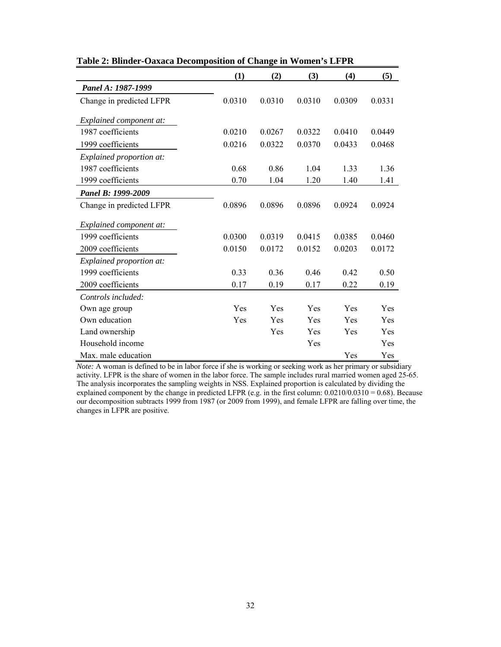|                          | (1)    | (2)    | (3)    | (4)    | (5)        |
|--------------------------|--------|--------|--------|--------|------------|
| Panel A: 1987-1999       |        |        |        |        |            |
| Change in predicted LFPR | 0.0310 | 0.0310 | 0.0310 | 0.0309 | 0.0331     |
| Explained component at:  |        |        |        |        |            |
| 1987 coefficients        | 0.0210 | 0.0267 | 0.0322 | 0.0410 | 0.0449     |
| 1999 coefficients        | 0.0216 | 0.0322 | 0.0370 | 0.0433 | 0.0468     |
| Explained proportion at: |        |        |        |        |            |
| 1987 coefficients        | 0.68   | 0.86   | 1.04   | 1.33   | 1.36       |
| 1999 coefficients        | 0.70   | 1.04   | 1.20   | 1.40   | 1.41       |
| Panel B: 1999-2009       |        |        |        |        |            |
| Change in predicted LFPR | 0.0896 | 0.0896 | 0.0896 | 0.0924 | 0.0924     |
| Explained component at:  |        |        |        |        |            |
| 1999 coefficients        | 0.0300 | 0.0319 | 0.0415 | 0.0385 | 0.0460     |
| 2009 coefficients        | 0.0150 | 0.0172 | 0.0152 | 0.0203 | 0.0172     |
| Explained proportion at: |        |        |        |        |            |
| 1999 coefficients        | 0.33   | 0.36   | 0.46   | 0.42   | 0.50       |
| 2009 coefficients        | 0.17   | 0.19   | 0.17   | 0.22   | 0.19       |
| Controls included:       |        |        |        |        |            |
| Own age group            | Yes    | Yes    | Yes    | Yes    | <b>Yes</b> |
| Own education            | Yes    | Yes    | Yes    | Yes    | Yes        |
| Land ownership           |        | Yes    | Yes    | Yes    | Yes        |
| Household income         |        |        | Yes    |        | Yes        |
| Max. male education      |        |        |        | Yes    | Yes        |

**Table 2: Blinder-Oaxaca Decomposition of Change in Women's LFPR** 

*Note:* A woman is defined to be in labor force if she is working or seeking work as her primary or subsidiary activity. LFPR is the share of women in the labor force. The sample includes rural married women aged 25-65. The analysis incorporates the sampling weights in NSS. Explained proportion is calculated by dividing the explained component by the change in predicted LFPR (e.g. in the first column: 0.0210/0.0310 = 0.68). Because our decomposition subtracts 1999 from 1987 (or 2009 from 1999), and female LFPR are falling over time, the changes in LFPR are positive.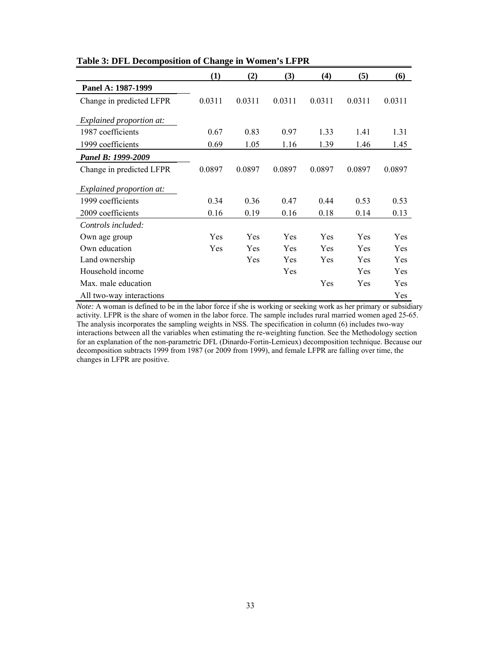|                          | (1)    | (2)    | (3)    | (4)    | (5)    | (6)        |
|--------------------------|--------|--------|--------|--------|--------|------------|
| Panel A: 1987-1999       |        |        |        |        |        |            |
| Change in predicted LFPR | 0.0311 | 0.0311 | 0.0311 | 0.0311 | 0.0311 | 0.0311     |
| Explained proportion at: |        |        |        |        |        |            |
| 1987 coefficients        | 0.67   | 0.83   | 0.97   | 1.33   | 1.41   | 1.31       |
| 1999 coefficients        | 0.69   | 1.05   | 1.16   | 1.39   | 1.46   | 1.45       |
| Panel B: 1999-2009       |        |        |        |        |        |            |
| Change in predicted LFPR | 0.0897 | 0.0897 | 0.0897 | 0.0897 | 0.0897 | 0.0897     |
| Explained proportion at: |        |        |        |        |        |            |
| 1999 coefficients        | 0.34   | 0.36   | 0.47   | 0.44   | 0.53   | 0.53       |
| 2009 coefficients        | 0.16   | 0.19   | 0.16   | 0.18   | 0.14   | 0.13       |
| Controls included:       |        |        |        |        |        |            |
| Own age group            | Yes    | Yes    | Yes    | Yes    | Yes    | Yes        |
| Own education            | Yes    | Yes    | Yes    | Yes    | Yes    | Yes        |
| Land ownership           |        | Yes    | Yes    | Yes    | Yes    | Yes        |
| Household income         |        |        | Yes    |        | Yes    | <b>Yes</b> |
| Max. male education      |        |        |        | Yes    | Yes    | Yes        |
| All two-way interactions |        |        |        |        |        | Yes        |

**Table 3: DFL Decomposition of Change in Women's LFPR** 

*Note:* A woman is defined to be in the labor force if she is working or seeking work as her primary or subsidiary activity. LFPR is the share of women in the labor force. The sample includes rural married women aged 25-65. The analysis incorporates the sampling weights in NSS. The specification in column (6) includes two-way interactions between all the variables when estimating the re-weighting function. See the Methodology section for an explanation of the non-parametric DFL (Dinardo-Fortin-Lemieux) decomposition technique. Because our decomposition subtracts 1999 from 1987 (or 2009 from 1999), and female LFPR are falling over time, the changes in LFPR are positive.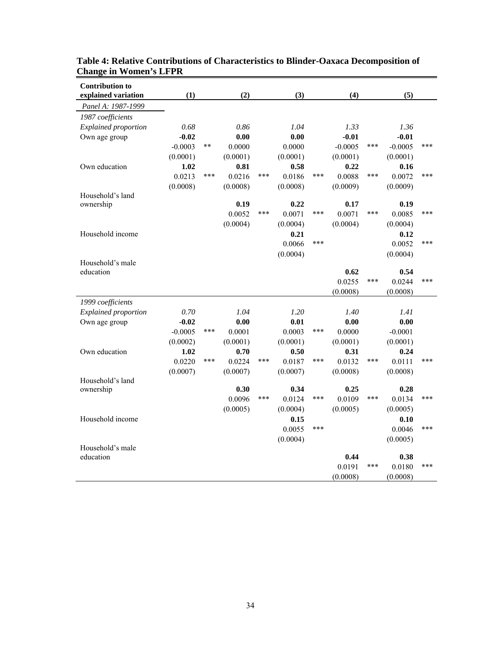| <b>Contribution to</b><br>explained variation | (1)       |       | (2)      |     | (3)      |     | (4)       |     | (5)       |     |
|-----------------------------------------------|-----------|-------|----------|-----|----------|-----|-----------|-----|-----------|-----|
| Panel A: 1987-1999                            |           |       |          |     |          |     |           |     |           |     |
| 1987 coefficients                             |           |       |          |     |          |     |           |     |           |     |
| Explained proportion                          | 0.68      |       | 0.86     |     | 1.04     |     | 1.33      |     | 1.36      |     |
| Own age group                                 | $-0.02$   |       | 0.00     |     | 0.00     |     | $-0.01$   |     | $-0.01$   |     |
|                                               | $-0.0003$ | $***$ | 0.0000   |     | 0.0000   |     | $-0.0005$ | *** | $-0.0005$ | *** |
|                                               | (0.0001)  |       | (0.0001) |     | (0.0001) |     | (0.0001)  |     | (0.0001)  |     |
| Own education                                 | 1.02      |       | 0.81     |     | 0.58     |     | 0.22      |     | 0.16      |     |
|                                               | 0.0213    | ***   | 0.0216   | *** | 0.0186   | *** | 0.0088    | *** | 0.0072    | *** |
|                                               | (0.0008)  |       | (0.0008) |     | (0.0008) |     | (0.0009)  |     | (0.0009)  |     |
| Household's land                              |           |       |          |     |          |     |           |     |           |     |
| ownership                                     |           |       | 0.19     |     | 0.22     |     | 0.17      |     | 0.19      |     |
|                                               |           |       | 0.0052   | *** | 0.0071   | *** | 0.0071    | *** | 0.0085    | *** |
|                                               |           |       | (0.0004) |     | (0.0004) |     | (0.0004)  |     | (0.0004)  |     |
| Household income                              |           |       |          |     | 0.21     |     |           |     | 0.12      |     |
|                                               |           |       |          |     | 0.0066   | *** |           |     | 0.0052    | *** |
|                                               |           |       |          |     | (0.0004) |     |           |     | (0.0004)  |     |
| Household's male<br>education                 |           |       |          |     |          |     | 0.62      |     | 0.54      |     |
|                                               |           |       |          |     |          |     | 0.0255    | *** | 0.0244    | *** |
|                                               |           |       |          |     |          |     | (0.0008)  |     | (0.0008)  |     |
| 1999 coefficients                             |           |       |          |     |          |     |           |     |           |     |
| Explained proportion                          | 0.70      |       | 1.04     |     | 1.20     |     | 1.40      |     | 1.41      |     |
| Own age group                                 | $-0.02$   |       | 0.00     |     | 0.01     |     | 0.00      |     | 0.00      |     |
|                                               | $-0.0005$ | ***   | 0.0001   |     | 0.0003   | *** | 0.0000    |     | $-0.0001$ |     |
|                                               | (0.0002)  |       | (0.0001) |     | (0.0001) |     | (0.0001)  |     | (0.0001)  |     |
| Own education                                 | 1.02      |       | 0.70     |     | 0.50     |     | 0.31      |     | 0.24      |     |
|                                               | 0.0220    | ***   | 0.0224   | *** | 0.0187   | *** | 0.0132    | *** | 0.0111    | *** |
|                                               | (0.0007)  |       | (0.0007) |     | (0.0007) |     | (0.0008)  |     | (0.0008)  |     |
| Household's land                              |           |       |          |     |          |     |           |     |           |     |
| ownership                                     |           |       | 0.30     |     | 0.34     |     | 0.25      |     | 0.28      |     |
|                                               |           |       | 0.0096   | *** | 0.0124   | *** | 0.0109    | *** | 0.0134    | *** |
|                                               |           |       | (0.0005) |     | (0.0004) |     | (0.0005)  |     | (0.0005)  |     |
| Household income                              |           |       |          |     | 0.15     |     |           |     | 0.10      |     |
|                                               |           |       |          |     | 0.0055   | *** |           |     | 0.0046    | *** |
|                                               |           |       |          |     | (0.0004) |     |           |     | (0.0005)  |     |
| Household's male                              |           |       |          |     |          |     |           |     |           |     |
| education                                     |           |       |          |     |          |     | 0.44      | *** | 0.38      | *** |
|                                               |           |       |          |     |          |     | 0.0191    |     | 0.0180    |     |
|                                               |           |       |          |     |          |     | (0.0008)  |     | (0.0008)  |     |

### **Table 4: Relative Contributions of Characteristics to Blinder-Oaxaca Decomposition of Change in Women's LFPR**

 $\overline{\phantom{0}}$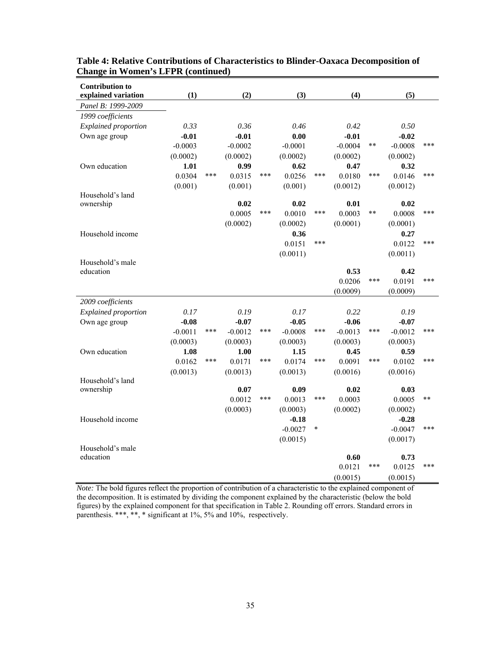| <b>Contribution to</b><br>explained variation | (1)       |     | (2)       |     | (3)       |        | (4)       |       | (5)       |       |
|-----------------------------------------------|-----------|-----|-----------|-----|-----------|--------|-----------|-------|-----------|-------|
| Panel B: 1999-2009                            |           |     |           |     |           |        |           |       |           |       |
| 1999 coefficients                             |           |     |           |     |           |        |           |       |           |       |
| <b>Explained proportion</b>                   | 0.33      |     | 0.36      |     | 0.46      |        | 0.42      |       | 0.50      |       |
| Own age group                                 | $-0.01$   |     | $-0.01$   |     | 0.00      |        | $-0.01$   |       | $-0.02$   |       |
|                                               | $-0.0003$ |     | $-0.0002$ |     | $-0.0001$ |        | $-0.0004$ | $***$ | $-0.0008$ | ***   |
|                                               | (0.0002)  |     | (0.0002)  |     | (0.0002)  |        | (0.0002)  |       | (0.0002)  |       |
| Own education                                 | 1.01      |     | 0.99      |     | 0.62      |        | 0.47      |       | 0.32      |       |
|                                               | 0.0304    | *** | 0.0315    | *** | 0.0256    | ***    | 0.0180    | ***   | 0.0146    | ***   |
|                                               | (0.001)   |     | (0.001)   |     | (0.001)   |        | (0.0012)  |       | (0.0012)  |       |
| Household's land                              |           |     |           |     |           |        |           |       |           |       |
| ownership                                     |           |     | 0.02      |     | 0.02      |        | 0.01      |       | 0.02      |       |
|                                               |           |     | 0.0005    | *** | 0.0010    | ***    | 0.0003    | $***$ | 0.0008    | ***   |
|                                               |           |     | (0.0002)  |     | (0.0002)  |        | (0.0001)  |       | (0.0001)  |       |
| Household income                              |           |     |           |     | 0.36      | ***    |           |       | 0.27      | ***   |
|                                               |           |     |           |     | 0.0151    |        |           |       | 0.0122    |       |
| Household's male                              |           |     |           |     | (0.0011)  |        |           |       | (0.0011)  |       |
| education                                     |           |     |           |     |           |        | 0.53      |       | 0.42      |       |
|                                               |           |     |           |     |           |        | 0.0206    | ***   | 0.0191    | ***   |
|                                               |           |     |           |     |           |        | (0.0009)  |       | (0.0009)  |       |
| 2009 coefficients                             |           |     |           |     |           |        |           |       |           |       |
| Explained proportion                          | 0.17      |     | 0.19      |     | 0.17      |        | 0.22      |       | 0.19      |       |
| Own age group                                 | $-0.08$   |     | $-0.07$   |     | $-0.05$   |        | $-0.06$   |       | $-0.07$   |       |
|                                               | $-0.0011$ | *** | $-0.0012$ | *** | $-0.0008$ | ***    | $-0.0013$ | ***   | $-0.0012$ | ***   |
|                                               | (0.0003)  |     | (0.0003)  |     | (0.0003)  |        | (0.0003)  |       | (0.0003)  |       |
| Own education                                 | 1.08      |     | 1.00      |     | 1.15      |        | 0.45      |       | 0.59      |       |
|                                               | 0.0162    | *** | 0.0171    | *** | 0.0174    | ***    | 0.0091    | ***   | 0.0102    | ***   |
|                                               | (0.0013)  |     | (0.0013)  |     | (0.0013)  |        | (0.0016)  |       | (0.0016)  |       |
| Household's land                              |           |     |           |     |           |        |           |       |           |       |
| ownership                                     |           |     | 0.07      | *** | 0.09      | ***    | 0.02      |       | 0.03      | $***$ |
|                                               |           |     | 0.0012    |     | 0.0013    |        | 0.0003    |       | 0.0005    |       |
|                                               |           |     | (0.0003)  |     | (0.0003)  |        | (0.0002)  |       | (0.0002)  |       |
| Household income                              |           |     |           |     | $-0.18$   | $\ast$ |           |       | $-0.28$   | ***   |
|                                               |           |     |           |     | $-0.0027$ |        |           |       | $-0.0047$ |       |
| Household's male                              |           |     |           |     | (0.0015)  |        |           |       | (0.0017)  |       |
| education                                     |           |     |           |     |           |        | 0.60      |       | 0.73      |       |
|                                               |           |     |           |     |           |        | 0.0121    | ***   | 0.0125    | ***   |
|                                               |           |     |           |     |           |        | (0.0015)  |       | (0.0015)  |       |

**Table 4: Relative Contributions of Characteristics to Blinder-Oaxaca Decomposition of Change in Women's LFPR (continued)** 

*Note:* The bold figures reflect the proportion of contribution of a characteristic to the explained component of the decomposition. It is estimated by dividing the component explained by the characteristic (below the bold figures) by the explained component for that specification in Table 2. Rounding off errors. Standard errors in parenthesis. \*\*\*, \*\*, \* significant at 1%, 5% and 10%, respectively.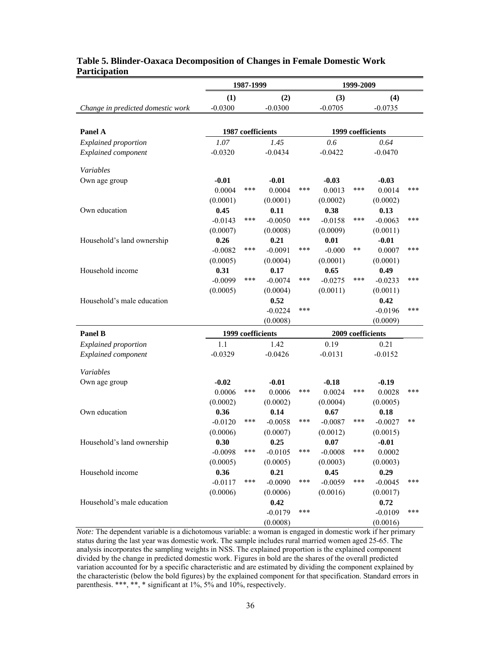|                                   | 1987-1999 |                   |           | 1999-2009 |                   |                   |           |     |
|-----------------------------------|-----------|-------------------|-----------|-----------|-------------------|-------------------|-----------|-----|
|                                   | (1)       |                   | (2)       |           | (3)               |                   | (4)       |     |
| Change in predicted domestic work | $-0.0300$ |                   | $-0.0300$ |           | $-0.0705$         |                   | $-0.0735$ |     |
|                                   |           |                   |           |           |                   |                   |           |     |
| Panel A                           |           | 1987 coefficients |           |           |                   | 1999 coefficients |           |     |
| <b>Explained proportion</b>       | 1.07      |                   | 1.45      |           | 0.6               |                   | 0.64      |     |
| <b>Explained component</b>        | $-0.0320$ |                   | $-0.0434$ |           | $-0.0422$         |                   | $-0.0470$ |     |
| Variables                         |           |                   |           |           |                   |                   |           |     |
| Own age group                     | $-0.01$   |                   | $-0.01$   |           | $-0.03$           |                   | $-0.03$   |     |
|                                   | 0.0004    | ***               | 0.0004    | ***       | 0.0013            | ***               | 0.0014    | *** |
|                                   | (0.0001)  |                   | (0.0001)  |           | (0.0002)          |                   | (0.0002)  |     |
| Own education                     | 0.45      |                   | 0.11      |           | 0.38              |                   | 0.13      |     |
|                                   | $-0.0143$ | ***               | $-0.0050$ | ***       | $-0.0158$         | ***               | $-0.0063$ | *** |
|                                   | (0.0007)  |                   | (0.0008)  |           | (0.0009)          |                   | (0.0011)  |     |
| Household's land ownership        | 0.26      |                   | 0.21      |           | 0.01              |                   | $-0.01$   |     |
|                                   | $-0.0082$ | ***               | $-0.0091$ | ***       | $-0.000$          | **                | 0.0007    | *** |
|                                   | (0.0005)  |                   | (0.0004)  |           | (0.0001)          |                   | (0.0001)  |     |
| Household income                  | 0.31      |                   | 0.17      |           | 0.65              |                   | 0.49      |     |
|                                   | $-0.0099$ | ***               | $-0.0074$ | ***       | $-0.0275$         | ***               | $-0.0233$ | *** |
|                                   | (0.0005)  |                   | (0.0004)  |           | (0.0011)          |                   | (0.0011)  |     |
| Household's male education        |           |                   | 0.52      |           |                   |                   | 0.42      |     |
|                                   |           |                   | $-0.0224$ | ***       |                   |                   | $-0.0196$ | *** |
|                                   |           |                   | (0.0008)  |           |                   |                   | (0.0009)  |     |
| <b>Panel B</b>                    |           | 1999 coefficients |           |           | 2009 coefficients |                   |           |     |
| <b>Explained proportion</b>       | 1.1       |                   | 1.42      |           | 0.19              |                   | 0.21      |     |
| <b>Explained component</b>        | $-0.0329$ |                   | $-0.0426$ |           | $-0.0131$         |                   | $-0.0152$ |     |
| Variables                         |           |                   |           |           |                   |                   |           |     |
| Own age group                     | $-0.02$   |                   | $-0.01$   |           | $-0.18$           |                   | $-0.19$   |     |
|                                   | 0.0006    | ***               | 0.0006    | ***       | 0.0024            | ***               | 0.0028    | *** |
|                                   | (0.0002)  |                   | (0.0002)  |           | (0.0004)          |                   | (0.0005)  |     |
| Own education                     | 0.36      |                   | 0.14      |           | 0.67              |                   | 0.18      |     |
|                                   | $-0.0120$ | ***               | $-0.0058$ | ***       | $-0.0087$         | ***               | $-0.0027$ | **  |
|                                   | (0.0006)  |                   | (0.0007)  |           | (0.0012)          |                   | (0.0015)  |     |
| Household's land ownership        | 0.30      |                   | 0.25      |           | 0.07              |                   | $-0.01$   |     |
|                                   | $-0.0098$ | ***               | $-0.0105$ | ***       | $-0.0008$         | ***               | 0.0002    |     |
|                                   | (0.0005)  |                   | (0.0005)  |           | (0.0003)          |                   | (0.0003)  |     |
| Household income                  | 0.36      |                   | 0.21      |           | 0.45              |                   | 0.29      |     |
|                                   | $-0.0117$ | ***               | $-0.0090$ | ***       | $-0.0059$         | ***               | $-0.0045$ | *** |
|                                   | (0.0006)  |                   | (0.0006)  |           | (0.0016)          |                   | (0.0017)  |     |
| Household's male education        |           |                   | 0.42      |           |                   |                   | 0.72      |     |
|                                   |           |                   | $-0.0179$ | ***       |                   |                   | $-0.0109$ | *** |
|                                   |           |                   | (0.0008)  |           |                   |                   | (0.0016)  |     |

### **Table 5. Blinder-Oaxaca Decomposition of Changes in Female Domestic Work Participation**

*Note:* The dependent variable is a dichotomous variable: a woman is engaged in domestic work if her primary status during the last year was domestic work. The sample includes rural married women aged 25-65. The analysis incorporates the sampling weights in NSS. The explained proportion is the explained component divided by the change in predicted domestic work. Figures in bold are the shares of the overall predicted variation accounted for by a specific characteristic and are estimated by dividing the component explained by the characteristic (below the bold figures) by the explained component for that specification. Standard errors in parenthesis. \*\*\*, \*\*, \* significant at 1%, 5% and 10%, respectively.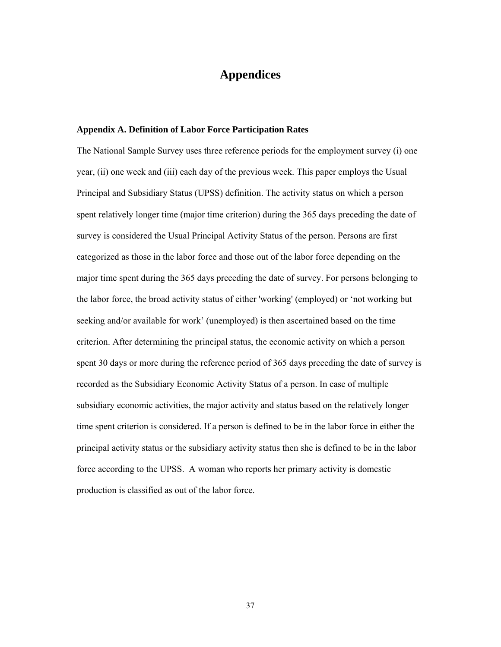### **Appendices**

#### **Appendix A. Definition of Labor Force Participation Rates**

The National Sample Survey uses three reference periods for the employment survey (i) one year, (ii) one week and (iii) each day of the previous week. This paper employs the Usual Principal and Subsidiary Status (UPSS) definition. The activity status on which a person spent relatively longer time (major time criterion) during the 365 days preceding the date of survey is considered the Usual Principal Activity Status of the person. Persons are first categorized as those in the labor force and those out of the labor force depending on the major time spent during the 365 days preceding the date of survey. For persons belonging to the labor force, the broad activity status of either 'working' (employed) or 'not working but seeking and/or available for work' (unemployed) is then ascertained based on the time criterion. After determining the principal status, the economic activity on which a person spent 30 days or more during the reference period of 365 days preceding the date of survey is recorded as the Subsidiary Economic Activity Status of a person. In case of multiple subsidiary economic activities, the major activity and status based on the relatively longer time spent criterion is considered. If a person is defined to be in the labor force in either the principal activity status or the subsidiary activity status then she is defined to be in the labor force according to the UPSS. A woman who reports her primary activity is domestic production is classified as out of the labor force.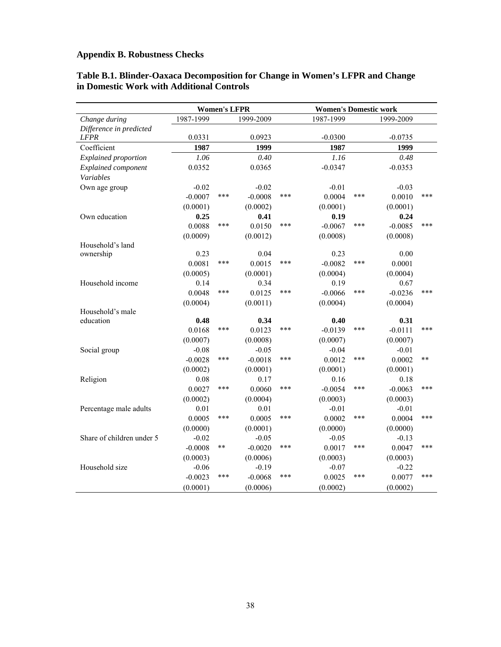### **Appendix B. Robustness Checks**

|                           |           | <b>Women's LFPR</b> |           |     | <b>Women's Domestic work</b> |     |           |       |
|---------------------------|-----------|---------------------|-----------|-----|------------------------------|-----|-----------|-------|
| Change during             | 1987-1999 |                     | 1999-2009 |     | 1987-1999                    |     | 1999-2009 |       |
| Difference in predicted   |           |                     |           |     |                              |     |           |       |
| <b>LFPR</b>               | 0.0331    |                     | 0.0923    |     | $-0.0300$                    |     | $-0.0735$ |       |
| Coefficient               | 1987      |                     | 1999      |     | 1987                         |     | 1999      |       |
| Explained proportion      | 1.06      |                     | 0.40      |     | 1.16                         |     | 0.48      |       |
| Explained component       | 0.0352    |                     | 0.0365    |     | $-0.0347$                    |     | $-0.0353$ |       |
| Variables                 |           |                     |           |     |                              |     |           |       |
| Own age group             | $-0.02$   |                     | $-0.02$   |     | $-0.01$                      |     | $-0.03$   |       |
|                           | $-0.0007$ | ***                 | $-0.0008$ | *** | 0.0004                       | *** | 0.0010    | ***   |
|                           | (0.0001)  |                     | (0.0002)  |     | (0.0001)                     |     | (0.0001)  |       |
| Own education             | 0.25      |                     | 0.41      |     | 0.19                         |     | 0.24      |       |
|                           | 0.0088    | ***                 | 0.0150    | *** | $-0.0067$                    | *** | $-0.0085$ | ***   |
|                           | (0.0009)  |                     | (0.0012)  |     | (0.0008)                     |     | (0.0008)  |       |
| Household's land          |           |                     |           |     |                              |     |           |       |
| ownership                 | 0.23      |                     | 0.04      |     | 0.23                         |     | 0.00      |       |
|                           | 0.0081    | ***                 | 0.0015    | *** | $-0.0082$                    | *** | 0.0001    |       |
|                           | (0.0005)  |                     | (0.0001)  |     | (0.0004)                     |     | (0.0004)  |       |
| Household income          | 0.14      |                     | 0.34      |     | 0.19                         |     | 0.67      |       |
|                           | 0.0048    | ***                 | 0.0125    | *** | $-0.0066$                    | *** | $-0.0236$ | ***   |
|                           | (0.0004)  |                     | (0.0011)  |     | (0.0004)                     |     | (0.0004)  |       |
| Household's male          |           |                     |           |     |                              |     |           |       |
| education                 | 0.48      |                     | 0.34      |     | 0.40                         |     | 0.31      |       |
|                           | 0.0168    | ***                 | 0.0123    | *** | $-0.0139$                    | *** | $-0.0111$ | ***   |
|                           | (0.0007)  |                     | (0.0008)  |     | (0.0007)                     |     | (0.0007)  |       |
| Social group              | $-0.08$   |                     | $-0.05$   |     | $-0.04$                      |     | $-0.01$   |       |
|                           | $-0.0028$ | ***                 | $-0.0018$ | *** | 0.0012                       | *** | 0.0002    | $***$ |
|                           | (0.0002)  |                     | (0.0001)  |     | (0.0001)                     |     | (0.0001)  |       |
| Religion                  | 0.08      |                     | 0.17      |     | 0.16                         |     | 0.18      |       |
|                           | 0.0027    | ***                 | 0.0060    | *** | $-0.0054$                    | *** | $-0.0063$ | ***   |
|                           | (0.0002)  |                     | (0.0004)  |     | (0.0003)                     |     | (0.0003)  |       |
| Percentage male adults    | 0.01      |                     | 0.01      |     | $-0.01$                      |     | $-0.01$   |       |
|                           | 0.0005    | ***                 | 0.0005    | *** | 0.0002                       | *** | 0.0004    | ***   |
|                           | (0.0000)  |                     | (0.0001)  |     | (0.0000)                     |     | (0.0000)  |       |
| Share of children under 5 | $-0.02$   |                     | $-0.05$   |     | $-0.05$                      |     | $-0.13$   |       |
|                           | $-0.0008$ | **                  | $-0.0020$ | *** | 0.0017                       | *** | 0.0047    | ***   |
|                           | (0.0003)  |                     | (0.0006)  |     | (0.0003)                     |     | (0.0003)  |       |
| Household size            | $-0.06$   |                     | $-0.19$   |     | $-0.07$                      |     | $-0.22$   |       |
|                           | $-0.0023$ | ***                 | $-0.0068$ | *** | 0.0025                       | *** | 0.0077    | ***   |
|                           | (0.0001)  |                     | (0.0006)  |     | (0.0002)                     |     | (0.0002)  |       |

#### **Table B.1. Blinder-Oaxaca Decomposition for Change in Women's LFPR and Change in Domestic Work with Additional Controls**